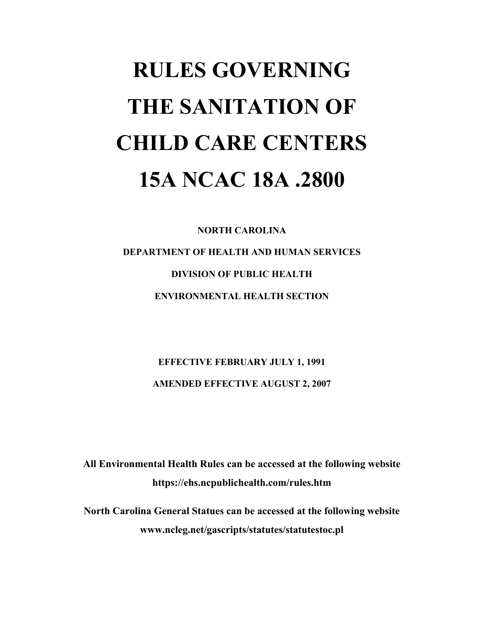# **RULES GOVERNING THE SANITATION OF CHILD CARE CENTERS 15A NCAC 18A .2800**

**NORTH CAROLINA DEPARTMENT OF HEALTH AND HUMAN SERVICES DIVISION OF PUBLIC HEALTH ENVIRONMENTAL HEALTH SECTION** 

> **EFFECTIVE FEBRUARY JULY 1, 1991 AMENDED EFFECTIVE AUGUST 2, 2007**

**All Environmental Health Rules can be accessed at the following website https://ehs.ncpublichealth.com/rules.htm** 

**North Carolina General Statues can be accessed at the following website www.ncleg.net/gascripts/statutes/statutestoc.pl**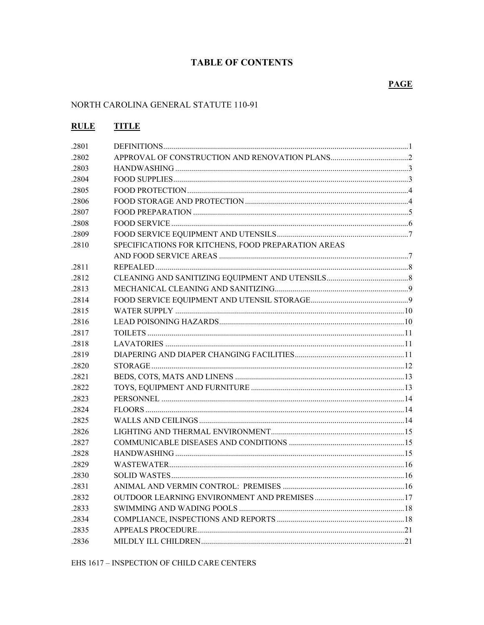# **TABLE OF CONTENTS**

# **PAGE**

# NORTH CAROLINA GENERAL STATUTE 110-91

| <b>RULE</b> | <b>TITLE</b>                                        |  |
|-------------|-----------------------------------------------------|--|
| .2801       |                                                     |  |
| .2802       |                                                     |  |
| .2803       |                                                     |  |
| .2804       |                                                     |  |
| .2805       |                                                     |  |
| .2806       |                                                     |  |
| .2807       |                                                     |  |
| .2808       |                                                     |  |
| .2809       |                                                     |  |
| .2810       | SPECIFICATIONS FOR KITCHENS, FOOD PREPARATION AREAS |  |
|             |                                                     |  |
| .2811       |                                                     |  |
| .2812       |                                                     |  |
| .2813       |                                                     |  |
| .2814       |                                                     |  |
| .2815       |                                                     |  |
| .2816       |                                                     |  |
| .2817       |                                                     |  |
| .2818       |                                                     |  |
| .2819       |                                                     |  |
| .2820       |                                                     |  |
| .2821       |                                                     |  |
| .2822       |                                                     |  |
| .2823       |                                                     |  |
| .2824       |                                                     |  |
| .2825       |                                                     |  |
| .2826       |                                                     |  |
| .2827       |                                                     |  |
| .2828       |                                                     |  |
| .2829       |                                                     |  |
| .2830       | SOLID WASTES                                        |  |
| .2831       |                                                     |  |
| .2832       |                                                     |  |
| .2833       |                                                     |  |
| .2834       |                                                     |  |
| .2835       |                                                     |  |
| .2836       |                                                     |  |

EHS 1617 – INSPECTION OF CHILD CARE CENTERS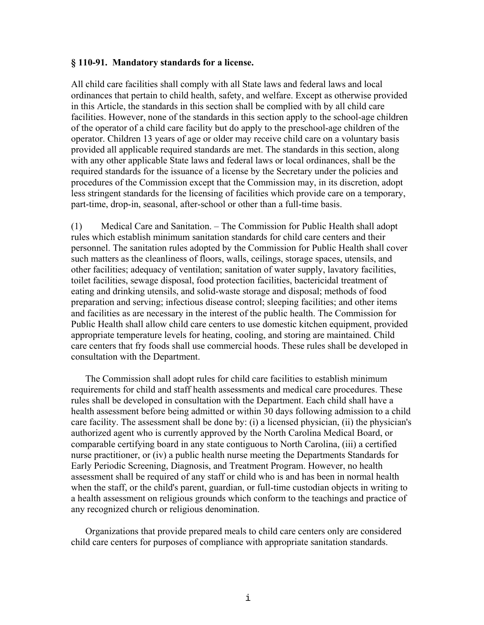# **§ 110-91. Mandatory standards for a license.**

All child care facilities shall comply with all State laws and federal laws and local ordinances that pertain to child health, safety, and welfare. Except as otherwise provided in this Article, the standards in this section shall be complied with by all child care facilities. However, none of the standards in this section apply to the school-age children of the operator of a child care facility but do apply to the preschool-age children of the operator. Children 13 years of age or older may receive child care on a voluntary basis provided all applicable required standards are met. The standards in this section, along with any other applicable State laws and federal laws or local ordinances, shall be the required standards for the issuance of a license by the Secretary under the policies and procedures of the Commission except that the Commission may, in its discretion, adopt less stringent standards for the licensing of facilities which provide care on a temporary, part-time, drop-in, seasonal, after-school or other than a full-time basis.

(1) Medical Care and Sanitation. – The Commission for Public Health shall adopt rules which establish minimum sanitation standards for child care centers and their personnel. The sanitation rules adopted by the Commission for Public Health shall cover such matters as the cleanliness of floors, walls, ceilings, storage spaces, utensils, and other facilities; adequacy of ventilation; sanitation of water supply, lavatory facilities, toilet facilities, sewage disposal, food protection facilities, bactericidal treatment of eating and drinking utensils, and solid-waste storage and disposal; methods of food preparation and serving; infectious disease control; sleeping facilities; and other items and facilities as are necessary in the interest of the public health. The Commission for Public Health shall allow child care centers to use domestic kitchen equipment, provided appropriate temperature levels for heating, cooling, and storing are maintained. Child care centers that fry foods shall use commercial hoods. These rules shall be developed in consultation with the Department.

The Commission shall adopt rules for child care facilities to establish minimum requirements for child and staff health assessments and medical care procedures. These rules shall be developed in consultation with the Department. Each child shall have a health assessment before being admitted or within 30 days following admission to a child care facility. The assessment shall be done by: (i) a licensed physician, (ii) the physician's authorized agent who is currently approved by the North Carolina Medical Board, or comparable certifying board in any state contiguous to North Carolina, (iii) a certified nurse practitioner, or (iv) a public health nurse meeting the Departments Standards for Early Periodic Screening, Diagnosis, and Treatment Program. However, no health assessment shall be required of any staff or child who is and has been in normal health when the staff, or the child's parent, guardian, or full-time custodian objects in writing to a health assessment on religious grounds which conform to the teachings and practice of any recognized church or religious denomination.

Organizations that provide prepared meals to child care centers only are considered child care centers for purposes of compliance with appropriate sanitation standards.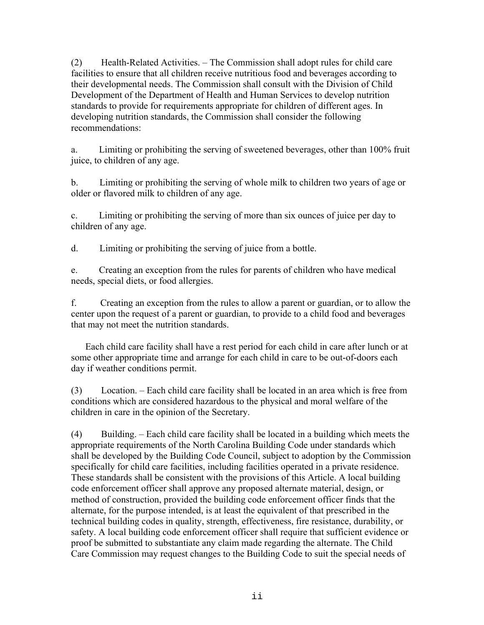(2) Health-Related Activities. – The Commission shall adopt rules for child care facilities to ensure that all children receive nutritious food and beverages according to their developmental needs. The Commission shall consult with the Division of Child Development of the Department of Health and Human Services to develop nutrition standards to provide for requirements appropriate for children of different ages. In developing nutrition standards, the Commission shall consider the following recommendations:

a. Limiting or prohibiting the serving of sweetened beverages, other than 100% fruit juice, to children of any age.

b. Limiting or prohibiting the serving of whole milk to children two years of age or older or flavored milk to children of any age.

c. Limiting or prohibiting the serving of more than six ounces of juice per day to children of any age.

d. Limiting or prohibiting the serving of juice from a bottle.

e. Creating an exception from the rules for parents of children who have medical needs, special diets, or food allergies.

f. Creating an exception from the rules to allow a parent or guardian, or to allow the center upon the request of a parent or guardian, to provide to a child food and beverages that may not meet the nutrition standards.

Each child care facility shall have a rest period for each child in care after lunch or at some other appropriate time and arrange for each child in care to be out-of-doors each day if weather conditions permit.

(3) Location. – Each child care facility shall be located in an area which is free from conditions which are considered hazardous to the physical and moral welfare of the children in care in the opinion of the Secretary.

(4) Building. – Each child care facility shall be located in a building which meets the appropriate requirements of the North Carolina Building Code under standards which shall be developed by the Building Code Council, subject to adoption by the Commission specifically for child care facilities, including facilities operated in a private residence. These standards shall be consistent with the provisions of this Article. A local building code enforcement officer shall approve any proposed alternate material, design, or method of construction, provided the building code enforcement officer finds that the alternate, for the purpose intended, is at least the equivalent of that prescribed in the technical building codes in quality, strength, effectiveness, fire resistance, durability, or safety. A local building code enforcement officer shall require that sufficient evidence or proof be submitted to substantiate any claim made regarding the alternate. The Child Care Commission may request changes to the Building Code to suit the special needs of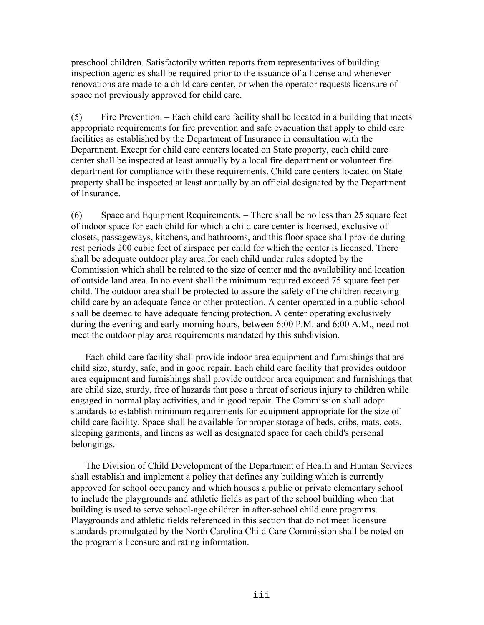preschool children. Satisfactorily written reports from representatives of building inspection agencies shall be required prior to the issuance of a license and whenever renovations are made to a child care center, or when the operator requests licensure of space not previously approved for child care.

(5) Fire Prevention. – Each child care facility shall be located in a building that meets appropriate requirements for fire prevention and safe evacuation that apply to child care facilities as established by the Department of Insurance in consultation with the Department. Except for child care centers located on State property, each child care center shall be inspected at least annually by a local fire department or volunteer fire department for compliance with these requirements. Child care centers located on State property shall be inspected at least annually by an official designated by the Department of Insurance.

(6) Space and Equipment Requirements. – There shall be no less than 25 square feet of indoor space for each child for which a child care center is licensed, exclusive of closets, passageways, kitchens, and bathrooms, and this floor space shall provide during rest periods 200 cubic feet of airspace per child for which the center is licensed. There shall be adequate outdoor play area for each child under rules adopted by the Commission which shall be related to the size of center and the availability and location of outside land area. In no event shall the minimum required exceed 75 square feet per child. The outdoor area shall be protected to assure the safety of the children receiving child care by an adequate fence or other protection. A center operated in a public school shall be deemed to have adequate fencing protection. A center operating exclusively during the evening and early morning hours, between 6:00 P.M. and 6:00 A.M., need not meet the outdoor play area requirements mandated by this subdivision.

Each child care facility shall provide indoor area equipment and furnishings that are child size, sturdy, safe, and in good repair. Each child care facility that provides outdoor area equipment and furnishings shall provide outdoor area equipment and furnishings that are child size, sturdy, free of hazards that pose a threat of serious injury to children while engaged in normal play activities, and in good repair. The Commission shall adopt standards to establish minimum requirements for equipment appropriate for the size of child care facility. Space shall be available for proper storage of beds, cribs, mats, cots, sleeping garments, and linens as well as designated space for each child's personal belongings.

The Division of Child Development of the Department of Health and Human Services shall establish and implement a policy that defines any building which is currently approved for school occupancy and which houses a public or private elementary school to include the playgrounds and athletic fields as part of the school building when that building is used to serve school-age children in after-school child care programs. Playgrounds and athletic fields referenced in this section that do not meet licensure standards promulgated by the North Carolina Child Care Commission shall be noted on the program's licensure and rating information.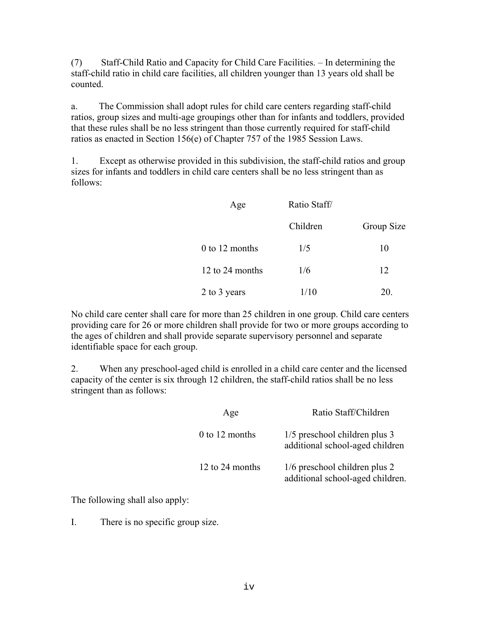(7) Staff-Child Ratio and Capacity for Child Care Facilities. – In determining the staff-child ratio in child care facilities, all children younger than 13 years old shall be counted.

a. The Commission shall adopt rules for child care centers regarding staff-child ratios, group sizes and multi-age groupings other than for infants and toddlers, provided that these rules shall be no less stringent than those currently required for staff-child ratios as enacted in Section 156(e) of Chapter 757 of the 1985 Session Laws.

1. Except as otherwise provided in this subdivision, the staff-child ratios and group sizes for infants and toddlers in child care centers shall be no less stringent than as follows:

| Age             | Ratio Staff |            |
|-----------------|-------------|------------|
|                 | Children    | Group Size |
| 0 to 12 months  | 1/5         | 10         |
| 12 to 24 months | 1/6         | 12         |
| 2 to 3 years    | 1/10        | 20.        |

No child care center shall care for more than 25 children in one group. Child care centers providing care for 26 or more children shall provide for two or more groups according to the ages of children and shall provide separate supervisory personnel and separate identifiable space for each group.

2. When any preschool-aged child is enrolled in a child care center and the licensed capacity of the center is six through 12 children, the staff-child ratios shall be no less stringent than as follows:

| Age              | Ratio Staff/Children                                              |
|------------------|-------------------------------------------------------------------|
| $0$ to 12 months | 1/5 preschool children plus 3<br>additional school-aged children  |
| 12 to 24 months  | 1/6 preschool children plus 2<br>additional school-aged children. |

The following shall also apply:

I. There is no specific group size.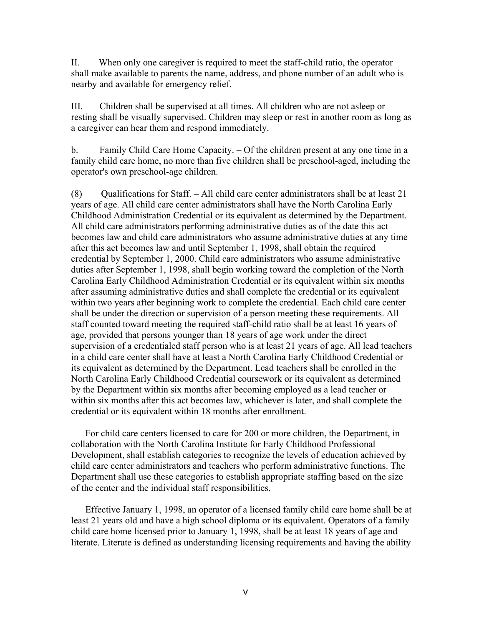II. When only one caregiver is required to meet the staff-child ratio, the operator shall make available to parents the name, address, and phone number of an adult who is nearby and available for emergency relief.

III. Children shall be supervised at all times. All children who are not asleep or resting shall be visually supervised. Children may sleep or rest in another room as long as a caregiver can hear them and respond immediately.

b. Family Child Care Home Capacity. – Of the children present at any one time in a family child care home, no more than five children shall be preschool-aged, including the operator's own preschool-age children.

(8) Qualifications for Staff.  $-$  All child care center administrators shall be at least 21 years of age. All child care center administrators shall have the North Carolina Early Childhood Administration Credential or its equivalent as determined by the Department. All child care administrators performing administrative duties as of the date this act becomes law and child care administrators who assume administrative duties at any time after this act becomes law and until September 1, 1998, shall obtain the required credential by September 1, 2000. Child care administrators who assume administrative duties after September 1, 1998, shall begin working toward the completion of the North Carolina Early Childhood Administration Credential or its equivalent within six months after assuming administrative duties and shall complete the credential or its equivalent within two years after beginning work to complete the credential. Each child care center shall be under the direction or supervision of a person meeting these requirements. All staff counted toward meeting the required staff-child ratio shall be at least 16 years of age, provided that persons younger than 18 years of age work under the direct supervision of a credentialed staff person who is at least 21 years of age. All lead teachers in a child care center shall have at least a North Carolina Early Childhood Credential or its equivalent as determined by the Department. Lead teachers shall be enrolled in the North Carolina Early Childhood Credential coursework or its equivalent as determined by the Department within six months after becoming employed as a lead teacher or within six months after this act becomes law, whichever is later, and shall complete the credential or its equivalent within 18 months after enrollment.

For child care centers licensed to care for 200 or more children, the Department, in collaboration with the North Carolina Institute for Early Childhood Professional Development, shall establish categories to recognize the levels of education achieved by child care center administrators and teachers who perform administrative functions. The Department shall use these categories to establish appropriate staffing based on the size of the center and the individual staff responsibilities.

Effective January 1, 1998, an operator of a licensed family child care home shall be at least 21 years old and have a high school diploma or its equivalent. Operators of a family child care home licensed prior to January 1, 1998, shall be at least 18 years of age and literate. Literate is defined as understanding licensing requirements and having the ability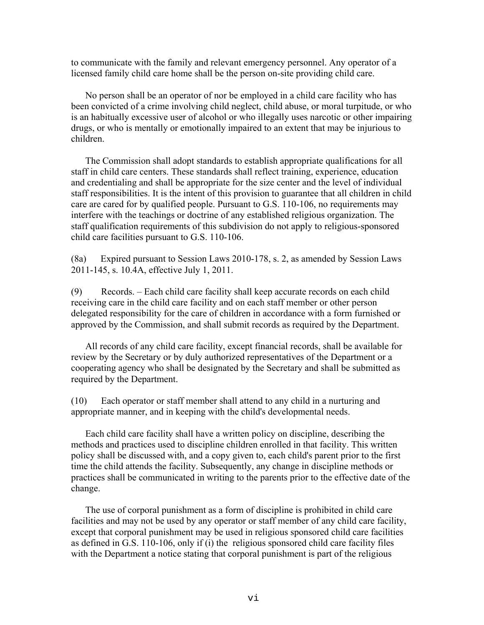to communicate with the family and relevant emergency personnel. Any operator of a licensed family child care home shall be the person on-site providing child care.

No person shall be an operator of nor be employed in a child care facility who has been convicted of a crime involving child neglect, child abuse, or moral turpitude, or who is an habitually excessive user of alcohol or who illegally uses narcotic or other impairing drugs, or who is mentally or emotionally impaired to an extent that may be injurious to children.

The Commission shall adopt standards to establish appropriate qualifications for all staff in child care centers. These standards shall reflect training, experience, education and credentialing and shall be appropriate for the size center and the level of individual staff responsibilities. It is the intent of this provision to guarantee that all children in child care are cared for by qualified people. Pursuant to G.S. 110-106, no requirements may interfere with the teachings or doctrine of any established religious organization. The staff qualification requirements of this subdivision do not apply to religious-sponsored child care facilities pursuant to G.S. 110-106.

(8a) Expired pursuant to Session Laws 2010-178, s. 2, as amended by Session Laws 2011-145, s. 10.4A, effective July 1, 2011.

(9) Records. – Each child care facility shall keep accurate records on each child receiving care in the child care facility and on each staff member or other person delegated responsibility for the care of children in accordance with a form furnished or approved by the Commission, and shall submit records as required by the Department.

All records of any child care facility, except financial records, shall be available for review by the Secretary or by duly authorized representatives of the Department or a cooperating agency who shall be designated by the Secretary and shall be submitted as required by the Department.

(10) Each operator or staff member shall attend to any child in a nurturing and appropriate manner, and in keeping with the child's developmental needs.

Each child care facility shall have a written policy on discipline, describing the methods and practices used to discipline children enrolled in that facility. This written policy shall be discussed with, and a copy given to, each child's parent prior to the first time the child attends the facility. Subsequently, any change in discipline methods or practices shall be communicated in writing to the parents prior to the effective date of the change.

The use of corporal punishment as a form of discipline is prohibited in child care facilities and may not be used by any operator or staff member of any child care facility, except that corporal punishment may be used in religious sponsored child care facilities as defined in G.S. 110-106, only if (i) the religious sponsored child care facility files with the Department a notice stating that corporal punishment is part of the religious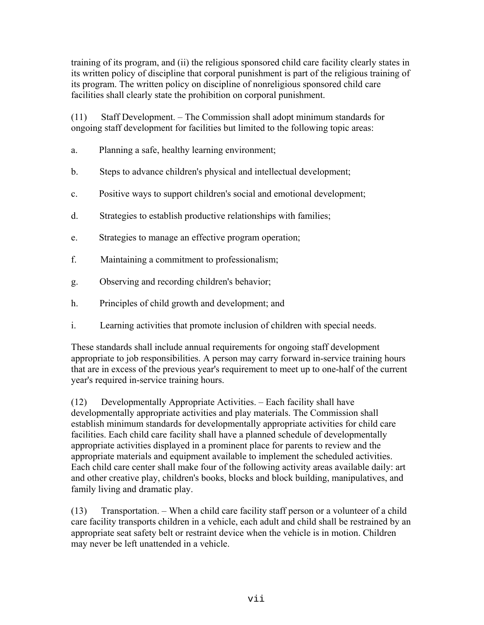training of its program, and (ii) the religious sponsored child care facility clearly states in its written policy of discipline that corporal punishment is part of the religious training of its program. The written policy on discipline of nonreligious sponsored child care facilities shall clearly state the prohibition on corporal punishment.

(11) Staff Development. – The Commission shall adopt minimum standards for ongoing staff development for facilities but limited to the following topic areas:

- a. Planning a safe, healthy learning environment;
- b. Steps to advance children's physical and intellectual development;
- c. Positive ways to support children's social and emotional development;
- d. Strategies to establish productive relationships with families;
- e. Strategies to manage an effective program operation;
- f. Maintaining a commitment to professionalism;
- g. Observing and recording children's behavior;
- h. Principles of child growth and development; and
- i. Learning activities that promote inclusion of children with special needs.

These standards shall include annual requirements for ongoing staff development appropriate to job responsibilities. A person may carry forward in-service training hours that are in excess of the previous year's requirement to meet up to one-half of the current year's required in-service training hours.

(12) Developmentally Appropriate Activities. – Each facility shall have developmentally appropriate activities and play materials. The Commission shall establish minimum standards for developmentally appropriate activities for child care facilities. Each child care facility shall have a planned schedule of developmentally appropriate activities displayed in a prominent place for parents to review and the appropriate materials and equipment available to implement the scheduled activities. Each child care center shall make four of the following activity areas available daily: art and other creative play, children's books, blocks and block building, manipulatives, and family living and dramatic play.

(13) Transportation. – When a child care facility staff person or a volunteer of a child care facility transports children in a vehicle, each adult and child shall be restrained by an appropriate seat safety belt or restraint device when the vehicle is in motion. Children may never be left unattended in a vehicle.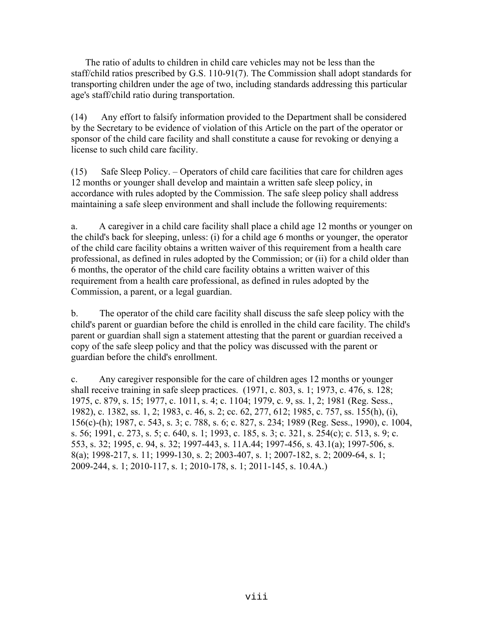The ratio of adults to children in child care vehicles may not be less than the staff/child ratios prescribed by G.S. 110-91(7). The Commission shall adopt standards for transporting children under the age of two, including standards addressing this particular age's staff/child ratio during transportation.

(14) Any effort to falsify information provided to the Department shall be considered by the Secretary to be evidence of violation of this Article on the part of the operator or sponsor of the child care facility and shall constitute a cause for revoking or denying a license to such child care facility.

(15) Safe Sleep Policy. – Operators of child care facilities that care for children ages 12 months or younger shall develop and maintain a written safe sleep policy, in accordance with rules adopted by the Commission. The safe sleep policy shall address maintaining a safe sleep environment and shall include the following requirements:

a. A caregiver in a child care facility shall place a child age 12 months or younger on the child's back for sleeping, unless: (i) for a child age 6 months or younger, the operator of the child care facility obtains a written waiver of this requirement from a health care professional, as defined in rules adopted by the Commission; or (ii) for a child older than 6 months, the operator of the child care facility obtains a written waiver of this requirement from a health care professional, as defined in rules adopted by the Commission, a parent, or a legal guardian.

b. The operator of the child care facility shall discuss the safe sleep policy with the child's parent or guardian before the child is enrolled in the child care facility. The child's parent or guardian shall sign a statement attesting that the parent or guardian received a copy of the safe sleep policy and that the policy was discussed with the parent or guardian before the child's enrollment.

c. Any caregiver responsible for the care of children ages 12 months or younger shall receive training in safe sleep practices. (1971, c. 803, s. 1; 1973, c. 476, s. 128; 1975, c. 879, s. 15; 1977, c. 1011, s. 4; c. 1104; 1979, c. 9, ss. 1, 2; 1981 (Reg. Sess., 1982), c. 1382, ss. 1, 2; 1983, c. 46, s. 2; cc. 62, 277, 612; 1985, c. 757, ss. 155(h), (i), 156(c)-(h); 1987, c. 543, s. 3; c. 788, s. 6; c. 827, s. 234; 1989 (Reg. Sess., 1990), c. 1004, s. 56; 1991, c. 273, s. 5; c. 640, s. 1; 1993, c. 185, s. 3; c. 321, s. 254(c); c. 513, s. 9; c. 553, s. 32; 1995, c. 94, s. 32; 1997-443, s. 11A.44; 1997-456, s. 43.1(a); 1997-506, s. 8(a); 1998-217, s. 11; 1999-130, s. 2; 2003-407, s. 1; 2007-182, s. 2; 2009-64, s. 1; 2009-244, s. 1; 2010-117, s. 1; 2010-178, s. 1; 2011-145, s. 10.4A.)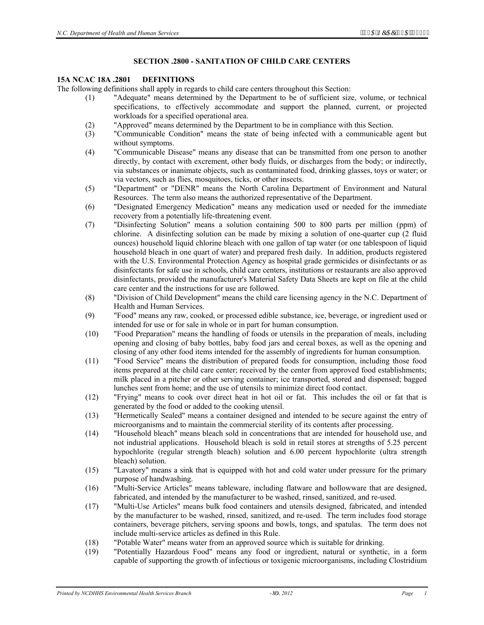#### **SECTION .2800 - SANITATION OF CHILD CARE CENTERS**

#### **15A NCAC 18A .2801 DEFINITIONS**

The following definitions shall apply in regards to child care centers throughout this Section:

- (1) "Adequate" means determined by the Department to be of sufficient size, volume, or technical specifications, to effectively accommodate and support the planned, current, or projected workloads for a specified operational area.
- (2) "Approved" means determined by the Department to be in compliance with this Section.
- (3) "Communicable Condition" means the state of being infected with a communicable agent but without symptoms.
- (4) "Communicable Disease" means any disease that can be transmitted from one person to another directly, by contact with excrement, other body fluids, or discharges from the body; or indirectly, via substances or inanimate objects, such as contaminated food, drinking glasses, toys or water; or via vectors, such as flies, mosquitoes, ticks, or other insects.
- (5) "Department" or "DENR" means the North Carolina Department of Environment and Natural Resources. The term also means the authorized representative of the Department.
- (6) "Designated Emergency Medication" means any medication used or needed for the immediate recovery from a potentially life-threatening event.
- (7) "Disinfecting Solution" means a solution containing 500 to 800 parts per million (ppm) of chlorine. A disinfecting solution can be made by mixing a solution of one-quarter cup (2 fluid ounces) household liquid chlorine bleach with one gallon of tap water (or one tablespoon of liquid household bleach in one quart of water) and prepared fresh daily. In addition, products registered with the U.S. Environmental Protection Agency as hospital grade germicides or disinfectants or as disinfectants for safe use in schools, child care centers, institutions or restaurants are also approved disinfectants, provided the manufacturer's Material Safety Data Sheets are kept on file at the child care center and the instructions for use are followed.
- (8) "Division of Child Development" means the child care licensing agency in the N.C. Department of Health and Human Services.
- (9) "Food" means any raw, cooked, or processed edible substance, ice, beverage, or ingredient used or intended for use or for sale in whole or in part for human consumption.
- (10) "Food Preparation" means the handling of foods or utensils in the preparation of meals, including opening and closing of baby bottles, baby food jars and cereal boxes, as well as the opening and closing of any other food items intended for the assembly of ingredients for human consumption.
- (11) "Food Service" means the distribution of prepared foods for consumption, including those food items prepared at the child care center; received by the center from approved food establishments; milk placed in a pitcher or other serving container; ice transported, stored and dispensed; bagged lunches sent from home; and the use of utensils to minimize direct food contact.
- (12) "Frying" means to cook over direct heat in hot oil or fat. This includes the oil or fat that is generated by the food or added to the cooking utensil.
- (13) "Hermetically Sealed" means a container designed and intended to be secure against the entry of microorganisms and to maintain the commercial sterility of its contents after processing.
- (14) "Household bleach" means bleach sold in concentrations that are intended for household use, and not industrial applications. Household bleach is sold in retail stores at strengths of 5.25 percent hypochlorite (regular strength bleach) solution and 6.00 percent hypochlorite (ultra strength bleach) solution.
- (15) "Lavatory" means a sink that is equipped with hot and cold water under pressure for the primary purpose of handwashing.
- (16) "Multi-Service Articles" means tableware, including flatware and hollowware that are designed, fabricated, and intended by the manufacturer to be washed, rinsed, sanitized, and re-used.
- (17) "Multi-Use Articles" means bulk food containers and utensils designed, fabricated, and intended by the manufacturer to be washed, rinsed, sanitized, and re-used. The term includes food storage containers, beverage pitchers, serving spoons and bowls, tongs, and spatulas. The term does not include multi-service articles as defined in this Rule.
- (18) "Potable Water" means water from an approved source which is suitable for drinking.
- (19) "Potentially Hazardous Food" means any food or ingredient, natural or synthetic, in a form capable of supporting the growth of infectious or toxigenic microorganisms, including Clostridium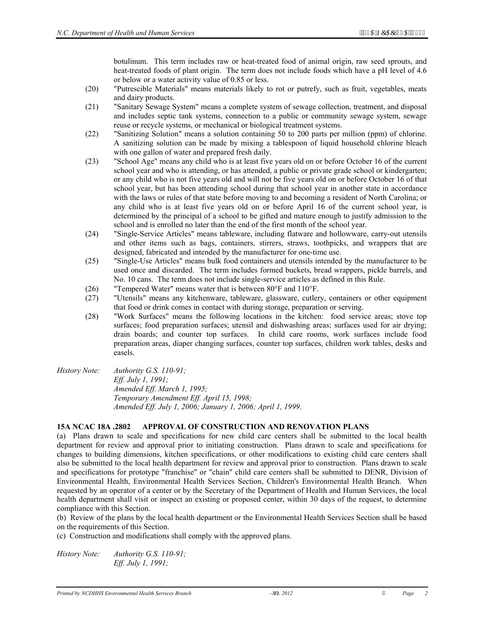botulinum. This term includes raw or heat-treated food of animal origin, raw seed sprouts, and heat-treated foods of plant origin. The term does not include foods which have a pH level of 4.6 or below or a water activity value of 0.85 or less.

- (20) "Putrescible Materials" means materials likely to rot or putrefy, such as fruit, vegetables, meats and dairy products.
- (21) "Sanitary Sewage System" means a complete system of sewage collection, treatment, and disposal and includes septic tank systems, connection to a public or community sewage system, sewage reuse or recycle systems, or mechanical or biological treatment systems.
- (22) "Sanitizing Solution" means a solution containing 50 to 200 parts per million (ppm) of chlorine. A sanitizing solution can be made by mixing a tablespoon of liquid household chlorine bleach with one gallon of water and prepared fresh daily.
- (23) "School Age" means any child who is at least five years old on or before October 16 of the current school year and who is attending, or has attended, a public or private grade school or kindergarten; or any child who is not five years old and will not be five years old on or before October 16 of that school year, but has been attending school during that school year in another state in accordance with the laws or rules of that state before moving to and becoming a resident of North Carolina; or any child who is at least five years old on or before April 16 of the current school year, is determined by the principal of a school to be gifted and mature enough to justify admission to the school and is enrolled no later than the end of the first month of the school year.
- (24) "Single-Service Articles" means tableware, including flatware and hollowware, carry-out utensils and other items such as bags, containers, stirrers, straws, toothpicks, and wrappers that are designed, fabricated and intended by the manufacturer for one-time use.
- (25) "Single-Use Articles" means bulk food containers and utensils intended by the manufacturer to be used once and discarded. The term includes formed buckets, bread wrappers, pickle barrels, and No. 10 cans. The term does not include single-service articles as defined in this Rule.
- (26) "Tempered Water" means water that is between 80°F and 110°F.
- (27) "Utensils" means any kitchenware, tableware, glassware, cutlery, containers or other equipment that food or drink comes in contact with during storage, preparation or serving.
- (28) "Work Surfaces" means the following locations in the kitchen: food service areas; stove top surfaces; food preparation surfaces; utensil and dishwashing areas; surfaces used for air drying; drain boards; and counter top surfaces. In child care rooms, work surfaces include food preparation areas, diaper changing surfaces, counter top surfaces, children work tables, desks and easels.
- *History Note: Authority G.S. 110-91; Eff. July 1, 1991; Amended Eff. March 1, 1995; Temporary Amendment Eff. April 15, 1998; Amended Eff. July 1, 2006; January 1, 2006; April 1, 1999.*

#### **15A NCAC 18A .2802 APPROVAL OF CONSTRUCTION AND RENOVATION PLANS**

(a) Plans drawn to scale and specifications for new child care centers shall be submitted to the local health department for review and approval prior to initiating construction. Plans drawn to scale and specifications for changes to building dimensions, kitchen specifications, or other modifications to existing child care centers shall also be submitted to the local health department for review and approval prior to construction. Plans drawn to scale and specifications for prototype "franchise" or "chain" child care centers shall be submitted to DENR, Division of Environmental Health, Environmental Health Services Section, Children's Environmental Health Branch. When requested by an operator of a center or by the Secretary of the Department of Health and Human Services, the local health department shall visit or inspect an existing or proposed center, within 30 days of the request, to determine compliance with this Section.

(b) Review of the plans by the local health department or the Environmental Health Services Section shall be based on the requirements of this Section.

(c) Construction and modifications shall comply with the approved plans.

*History Note: Authority G.S. 110-91; Eff. July 1, 1991;*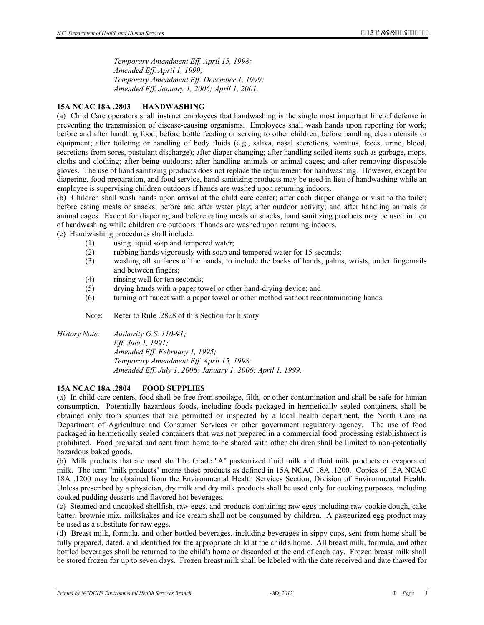*Temporary Amendment Eff. April 15, 1998; Amended Eff. April 1, 1999; Temporary Amendment Eff. December 1, 1999; Amended Eff. January 1, 2006; April 1, 2001.* 

# **15A NCAC 18A .2803 HANDWASHING**

(a) Child Care operators shall instruct employees that handwashing is the single most important line of defense in preventing the transmission of disease-causing organisms. Employees shall wash hands upon reporting for work; before and after handling food; before bottle feeding or serving to other children; before handling clean utensils or equipment; after toileting or handling of body fluids (e.g., saliva, nasal secretions, vomitus, feces, urine, blood, secretions from sores, pustulant discharge); after diaper changing; after handling soiled items such as garbage, mops, cloths and clothing; after being outdoors; after handling animals or animal cages; and after removing disposable gloves. The use of hand sanitizing products does not replace the requirement for handwashing. However, except for diapering, food preparation, and food service, hand sanitizing products may be used in lieu of handwashing while an employee is supervising children outdoors if hands are washed upon returning indoors.

(b) Children shall wash hands upon arrival at the child care center; after each diaper change or visit to the toilet; before eating meals or snacks; before and after water play; after outdoor activity; and after handling animals or animal cages. Except for diapering and before eating meals or snacks, hand sanitizing products may be used in lieu of handwashing while children are outdoors if hands are washed upon returning indoors.

(c) Handwashing procedures shall include:

- (1) using liquid soap and tempered water;
- (2) rubbing hands vigorously with soap and tempered water for 15 seconds;
- (3) washing all surfaces of the hands, to include the backs of hands, palms, wrists, under fingernails and between fingers;
- (4) rinsing well for ten seconds;
- (5) drying hands with a paper towel or other hand-drying device; and
- (6) turning off faucet with a paper towel or other method without recontaminating hands.

Note: Refer to Rule .2828 of this Section for history.

*History Note: Authority G.S. 110-91;* 

*Eff. July 1, 1991; Amended Eff. February 1, 1995; Temporary Amendment Eff. April 15, 1998; Amended Eff. July 1, 2006; January 1, 2006; April 1, 1999.* 

#### **15A NCAC 18A .2804 FOOD SUPPLIES**

(a) In child care centers, food shall be free from spoilage, filth, or other contamination and shall be safe for human consumption. Potentially hazardous foods, including foods packaged in hermetically sealed containers, shall be obtained only from sources that are permitted or inspected by a local health department, the North Carolina Department of Agriculture and Consumer Services or other government regulatory agency. The use of food packaged in hermetically sealed containers that was not prepared in a commercial food processing establishment is prohibited. Food prepared and sent from home to be shared with other children shall be limited to non-potentially hazardous baked goods.

(b) Milk products that are used shall be Grade "A" pasteurized fluid milk and fluid milk products or evaporated milk. The term "milk products" means those products as defined in 15A NCAC 18A .1200. Copies of 15A NCAC 18A .1200 may be obtained from the Environmental Health Services Section, Division of Environmental Health. Unless prescribed by a physician, dry milk and dry milk products shall be used only for cooking purposes, including cooked pudding desserts and flavored hot beverages.

(c) Steamed and uncooked shellfish, raw eggs, and products containing raw eggs including raw cookie dough, cake batter, brownie mix, milkshakes and ice cream shall not be consumed by children. A pasteurized egg product may be used as a substitute for raw eggs.

(d) Breast milk, formula, and other bottled beverages, including beverages in sippy cups, sent from home shall be fully prepared, dated, and identified for the appropriate child at the child's home. All breast milk, formula, and other bottled beverages shall be returned to the child's home or discarded at the end of each day. Frozen breast milk shall be stored frozen for up to seven days. Frozen breast milk shall be labeled with the date received and date thawed for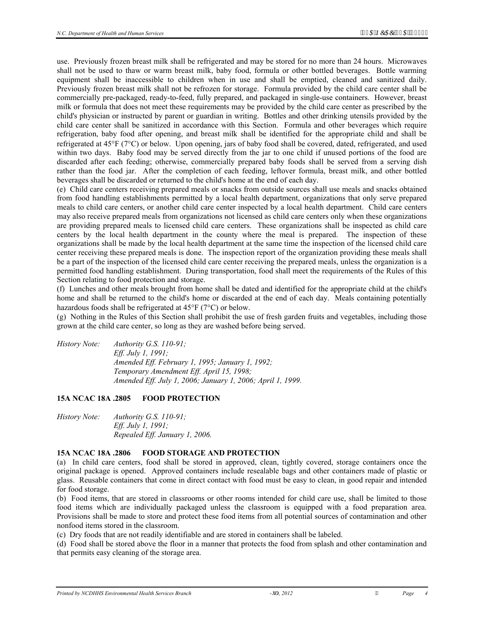use. Previously frozen breast milk shall be refrigerated and may be stored for no more than 24 hours. Microwaves shall not be used to thaw or warm breast milk, baby food, formula or other bottled beverages. Bottle warming equipment shall be inaccessible to children when in use and shall be emptied, cleaned and sanitized daily. Previously frozen breast milk shall not be refrozen for storage. Formula provided by the child care center shall be commercially pre-packaged, ready-to-feed, fully prepared, and packaged in single-use containers. However, breast milk or formula that does not meet these requirements may be provided by the child care center as prescribed by the child's physician or instructed by parent or guardian in writing. Bottles and other drinking utensils provided by the child care center shall be sanitized in accordance with this Section. Formula and other beverages which require refrigeration, baby food after opening, and breast milk shall be identified for the appropriate child and shall be refrigerated at 45°F (7°C) or below. Upon opening, jars of baby food shall be covered, dated, refrigerated, and used within two days. Baby food may be served directly from the jar to one child if unused portions of the food are discarded after each feeding; otherwise, commercially prepared baby foods shall be served from a serving dish rather than the food jar. After the completion of each feeding, leftover formula, breast milk, and other bottled beverages shall be discarded or returned to the child's home at the end of each day.

(e) Child care centers receiving prepared meals or snacks from outside sources shall use meals and snacks obtained from food handling establishments permitted by a local health department, organizations that only serve prepared meals to child care centers, or another child care center inspected by a local health department. Child care centers may also receive prepared meals from organizations not licensed as child care centers only when these organizations are providing prepared meals to licensed child care centers. These organizations shall be inspected as child care centers by the local health department in the county where the meal is prepared. The inspection of these organizations shall be made by the local health department at the same time the inspection of the licensed child care center receiving these prepared meals is done. The inspection report of the organization providing these meals shall be a part of the inspection of the licensed child care center receiving the prepared meals, unless the organization is a permitted food handling establishment. During transportation, food shall meet the requirements of the Rules of this Section relating to food protection and storage.

(f) Lunches and other meals brought from home shall be dated and identified for the appropriate child at the child's home and shall be returned to the child's home or discarded at the end of each day. Meals containing potentially hazardous foods shall be refrigerated at 45°F (7°C) or below.

(g) Nothing in the Rules of this Section shall prohibit the use of fresh garden fruits and vegetables, including those grown at the child care center, so long as they are washed before being served.

*History Note: Authority G.S. 110-91; Eff. July 1, 1991; Amended Eff. February 1, 1995; January 1, 1992; Temporary Amendment Eff. April 15, 1998; Amended Eff. July 1, 2006; January 1, 2006; April 1, 1999.* 

#### **15A NCAC 18A .2805 FOOD PROTECTION**

*History Note: Authority G.S. 110-91; Eff. July 1, 1991; Repealed Eff. January 1, 2006.* 

#### **15A NCAC 18A .2806 FOOD STORAGE AND PROTECTION**

(a) In child care centers, food shall be stored in approved, clean, tightly covered, storage containers once the original package is opened. Approved containers include resealable bags and other containers made of plastic or glass. Reusable containers that come in direct contact with food must be easy to clean, in good repair and intended for food storage.

(b) Food items, that are stored in classrooms or other rooms intended for child care use, shall be limited to those food items which are individually packaged unless the classroom is equipped with a food preparation area. Provisions shall be made to store and protect these food items from all potential sources of contamination and other nonfood items stored in the classroom.

(c) Dry foods that are not readily identifiable and are stored in containers shall be labeled.

(d) Food shall be stored above the floor in a manner that protects the food from splash and other contamination and that permits easy cleaning of the storage area.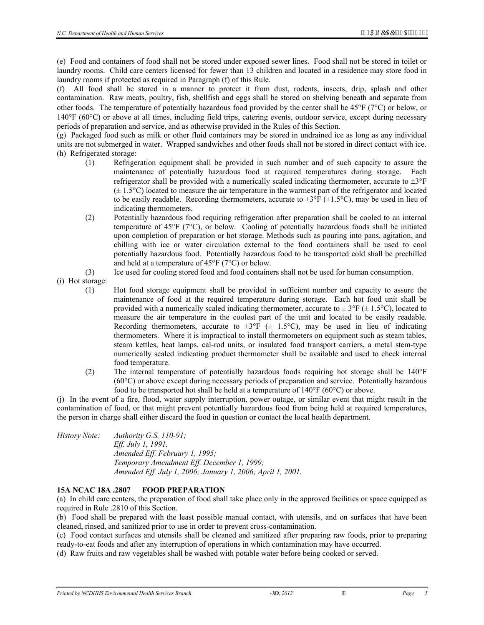(e) Food and containers of food shall not be stored under exposed sewer lines. Food shall not be stored in toilet or laundry rooms. Child care centers licensed for fewer than 13 children and located in a residence may store food in laundry rooms if protected as required in Paragraph (f) of this Rule.

(f) All food shall be stored in a manner to protect it from dust, rodents, insects, drip, splash and other contamination. Raw meats, poultry, fish, shellfish and eggs shall be stored on shelving beneath and separate from other foods. The temperature of potentially hazardous food provided by the center shall be 45°F (7°C) or below, or 140°F (60°C) or above at all times, including field trips, catering events, outdoor service, except during necessary periods of preparation and service, and as otherwise provided in the Rules of this Section.

(g) Packaged food such as milk or other fluid containers may be stored in undrained ice as long as any individual units are not submerged in water. Wrapped sandwiches and other foods shall not be stored in direct contact with ice. (h) Refrigerated storage:

- (1) Refrigeration equipment shall be provided in such number and of such capacity to assure the maintenance of potentially hazardous food at required temperatures during storage. Each refrigerator shall be provided with a numerically scaled indicating thermometer, accurate to ±3°F  $(\pm 1.5^{\circ}C)$  located to measure the air temperature in the warmest part of the refrigerator and located to be easily readable. Recording thermometers, accurate to  $\pm 3^{\circ}F (\pm 1.5^{\circ}C)$ , may be used in lieu of indicating thermometers.
- (2) Potentially hazardous food requiring refrigeration after preparation shall be cooled to an internal temperature of 45°F (7°C), or below. Cooling of potentially hazardous foods shall be initiated upon completion of preparation or hot storage. Methods such as pouring into pans, agitation, and chilling with ice or water circulation external to the food containers shall be used to cool potentially hazardous food. Potentially hazardous food to be transported cold shall be prechilled and held at a temperature of 45°F (7°C) or below.
- (3) Ice used for cooling stored food and food containers shall not be used for human consumption.

(i) Hot storage:

- (1) Hot food storage equipment shall be provided in sufficient number and capacity to assure the maintenance of food at the required temperature during storage. Each hot food unit shall be provided with a numerically scaled indicating thermometer, accurate to  $\pm 3^{\circ}F (\pm 1.5^{\circ}C)$ , located to measure the air temperature in the coolest part of the unit and located to be easily readable. Recording thermometers, accurate to  $\pm 3^{\circ}F$  ( $\pm$  1.5°C), may be used in lieu of indicating thermometers. Where it is impractical to install thermometers on equipment such as steam tables, steam kettles, heat lamps, cal-rod units, or insulated food transport carriers, a metal stem-type numerically scaled indicating product thermometer shall be available and used to check internal food temperature.
- (2) The internal temperature of potentially hazardous foods requiring hot storage shall be 140°F (60°C) or above except during necessary periods of preparation and service. Potentially hazardous food to be transported hot shall be held at a temperature of 140°F (60°C) or above.

(j) In the event of a fire, flood, water supply interruption, power outage, or similar event that might result in the contamination of food, or that might prevent potentially hazardous food from being held at required temperatures, the person in charge shall either discard the food in question or contact the local health department.

*History Note: Authority G.S. 110-91; Eff. July 1, 1991. Amended Eff. February 1, 1995; Temporary Amendment Eff. December 1, 1999; Amended Eff. July 1, 2006; January 1, 2006; April 1, 2001.* 

# **15A NCAC 18A .2807 FOOD PREPARATION**

(a) In child care centers, the preparation of food shall take place only in the approved facilities or space equipped as required in Rule .2810 of this Section.

(b) Food shall be prepared with the least possible manual contact, with utensils, and on surfaces that have been cleaned, rinsed, and sanitized prior to use in order to prevent cross-contamination.

(c) Food contact surfaces and utensils shall be cleaned and sanitized after preparing raw foods, prior to preparing ready-to-eat foods and after any interruption of operations in which contamination may have occurred.

(d) Raw fruits and raw vegetables shall be washed with potable water before being cooked or served.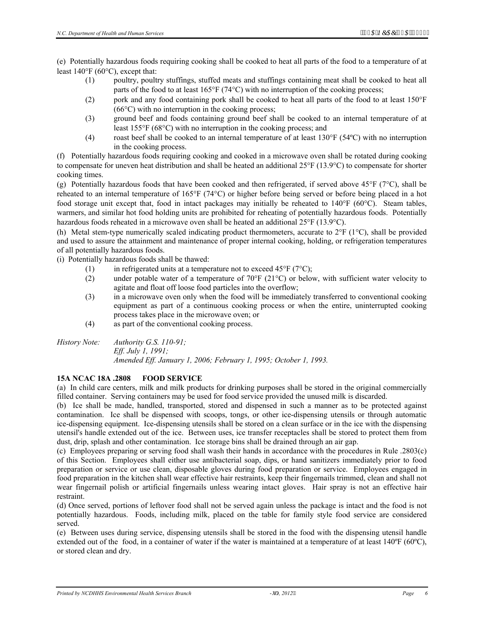(e) Potentially hazardous foods requiring cooking shall be cooked to heat all parts of the food to a temperature of at least 140°F (60°C), except that:

- (1) poultry, poultry stuffings, stuffed meats and stuffings containing meat shall be cooked to heat all parts of the food to at least  $165^{\circ}F (74^{\circ}C)$  with no interruption of the cooking process;
- (2) pork and any food containing pork shall be cooked to heat all parts of the food to at least 150°F (66°C) with no interruption in the cooking process;
- (3) ground beef and foods containing ground beef shall be cooked to an internal temperature of at least 155°F (68°C) with no interruption in the cooking process; and
- (4) roast beef shall be cooked to an internal temperature of at least 130°F (54ºC) with no interruption in the cooking process.

(f) Potentially hazardous foods requiring cooking and cooked in a microwave oven shall be rotated during cooking to compensate for uneven heat distribution and shall be heated an additional 25°F (13.9°C) to compensate for shorter cooking times.

(g) Potentially hazardous foods that have been cooked and then refrigerated, if served above 45°F (7°C), shall be reheated to an internal temperature of 165°F (74°C) or higher before being served or before being placed in a hot food storage unit except that, food in intact packages may initially be reheated to 140°F (60°C). Steam tables, warmers, and similar hot food holding units are prohibited for reheating of potentially hazardous foods. Potentially hazardous foods reheated in a microwave oven shall be heated an additional 25°F (13.9°C).

(h) Metal stem-type numerically scaled indicating product thermometers, accurate to  $2^{\circ}F(1^{\circ}C)$ , shall be provided and used to assure the attainment and maintenance of proper internal cooking, holding, or refrigeration temperatures of all potentially hazardous foods.

(i) Potentially hazardous foods shall be thawed:

- (1) in refrigerated units at a temperature not to exceed 45°F ( $7^{\circ}$ C);
- (2) under potable water of a temperature of 70°F (21°C) or below, with sufficient water velocity to agitate and float off loose food particles into the overflow;
- (3) in a microwave oven only when the food will be immediately transferred to conventional cooking equipment as part of a continuous cooking process or when the entire, uninterrupted cooking process takes place in the microwave oven; or
- (4) as part of the conventional cooking process.

*History Note: Authority G.S. 110-91; Eff. July 1, 1991; Amended Eff. January 1, 2006; February 1, 1995; October 1, 1993.* 

#### **15A NCAC 18A .2808 FOOD SERVICE**

(a) In child care centers, milk and milk products for drinking purposes shall be stored in the original commercially filled container. Serving containers may be used for food service provided the unused milk is discarded.

(b) Ice shall be made, handled, transported, stored and dispensed in such a manner as to be protected against contamination. Ice shall be dispensed with scoops, tongs, or other ice-dispensing utensils or through automatic ice-dispensing equipment. Ice-dispensing utensils shall be stored on a clean surface or in the ice with the dispensing utensil's handle extended out of the ice. Between uses, ice transfer receptacles shall be stored to protect them from dust, drip, splash and other contamination. Ice storage bins shall be drained through an air gap.

(c) Employees preparing or serving food shall wash their hands in accordance with the procedures in Rule .2803(c) of this Section. Employees shall either use antibacterial soap, dips, or hand sanitizers immediately prior to food preparation or service or use clean, disposable gloves during food preparation or service. Employees engaged in food preparation in the kitchen shall wear effective hair restraints, keep their fingernails trimmed, clean and shall not wear fingernail polish or artificial fingernails unless wearing intact gloves. Hair spray is not an effective hair restraint.

(d) Once served, portions of leftover food shall not be served again unless the package is intact and the food is not potentially hazardous. Foods, including milk, placed on the table for family style food service are considered served.

(e) Between uses during service, dispensing utensils shall be stored in the food with the dispensing utensil handle extended out of the food, in a container of water if the water is maintained at a temperature of at least 140°F (60°C), or stored clean and dry.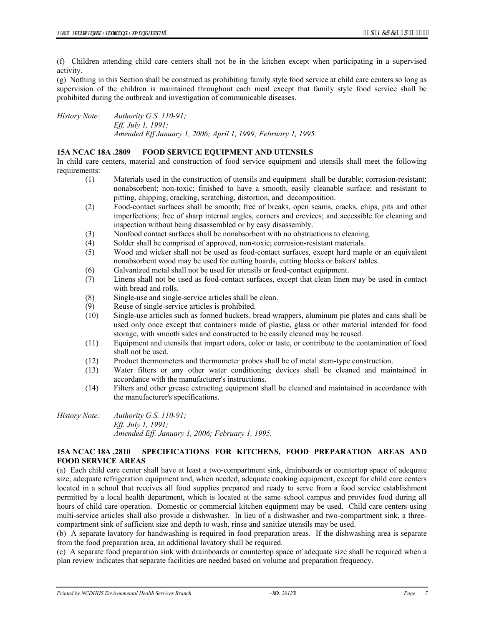(f) Children attending child care centers shall not be in the kitchen except when participating in a supervised activity.

(g) Nothing in this Section shall be construed as prohibiting family style food service at child care centers so long as supervision of the children is maintained throughout each meal except that family style food service shall be prohibited during the outbreak and investigation of communicable diseases.

*History Note: Authority G.S. 110-91; Eff. July 1, 1991; Amended Eff January 1, 2006; April 1, 1999; February 1, 1995.* 

#### **15A NCAC 18A .2809 FOOD SERVICE EQUIPMENT AND UTENSILS**

In child care centers, material and construction of food service equipment and utensils shall meet the following requirements:

- (1) Materials used in the construction of utensils and equipment shall be durable; corrosion-resistant; nonabsorbent; non-toxic; finished to have a smooth, easily cleanable surface; and resistant to pitting, chipping, cracking, scratching, distortion, and decomposition.
- (2) Food-contact surfaces shall be smooth; free of breaks, open seams, cracks, chips, pits and other imperfections; free of sharp internal angles, corners and crevices; and accessible for cleaning and inspection without being disassembled or by easy disassembly.
- (3) Nonfood contact surfaces shall be nonabsorbent with no obstructions to cleaning.
- (4) Solder shall be comprised of approved, non-toxic; corrosion-resistant materials.
- (5) Wood and wicker shall not be used as food-contact surfaces, except hard maple or an equivalent nonabsorbent wood may be used for cutting boards, cutting blocks or bakers' tables.
- (6) Galvanized metal shall not be used for utensils or food-contact equipment.
- (7) Linens shall not be used as food-contact surfaces, except that clean linen may be used in contact with bread and rolls.
- (8) Single-use and single-service articles shall be clean.
- (9) Reuse of single-service articles is prohibited.
- (10) Single-use articles such as formed buckets, bread wrappers, aluminum pie plates and cans shall be used only once except that containers made of plastic, glass or other material intended for food storage, with smooth sides and constructed to be easily cleaned may be reused.
- (11) Equipment and utensils that impart odors, color or taste, or contribute to the contamination of food shall not be used.
- (12) Product thermometers and thermometer probes shall be of metal stem-type construction.
- (13) Water filters or any other water conditioning devices shall be cleaned and maintained in accordance with the manufacturer's instructions.
- (14) Filters and other grease extracting equipment shall be cleaned and maintained in accordance with the manufacturer's specifications.

*History Note: Authority G.S. 110-91; Eff. July 1, 1991; Amended Eff. January 1, 2006; February 1, 1995.* 

#### **15A NCAC 18A .2810 SPECIFICATIONS FOR KITCHENS, FOOD PREPARATION AREAS AND FOOD SERVICE AREAS**

(a) Each child care center shall have at least a two-compartment sink, drainboards or countertop space of adequate size, adequate refrigeration equipment and, when needed, adequate cooking equipment, except for child care centers located in a school that receives all food supplies prepared and ready to serve from a food service establishment permitted by a local health department, which is located at the same school campus and provides food during all hours of child care operation. Domestic or commercial kitchen equipment may be used. Child care centers using multi-service articles shall also provide a dishwasher. In lieu of a dishwasher and two-compartment sink, a threecompartment sink of sufficient size and depth to wash, rinse and sanitize utensils may be used.

(b) A separate lavatory for handwashing is required in food preparation areas. If the dishwashing area is separate from the food preparation area, an additional lavatory shall be required.

(c) A separate food preparation sink with drainboards or countertop space of adequate size shall be required when a plan review indicates that separate facilities are needed based on volume and preparation frequency.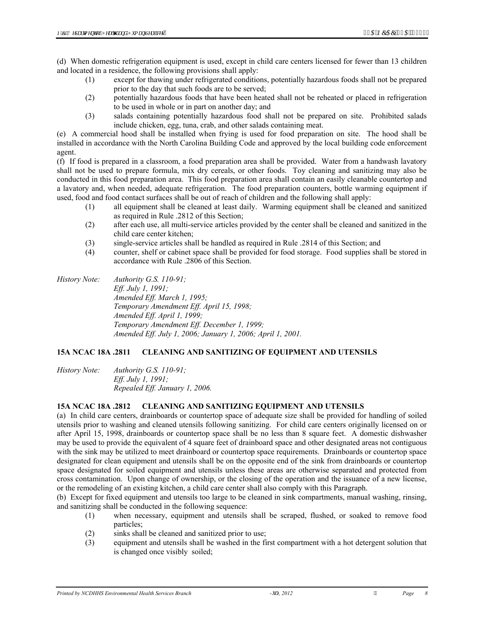(d) When domestic refrigeration equipment is used, except in child care centers licensed for fewer than 13 children and located in a residence, the following provisions shall apply:

- (1) except for thawing under refrigerated conditions, potentially hazardous foods shall not be prepared prior to the day that such foods are to be served;
- (2) potentially hazardous foods that have been heated shall not be reheated or placed in refrigeration to be used in whole or in part on another day; and
- (3) salads containing potentially hazardous food shall not be prepared on site. Prohibited salads include chicken, egg, tuna, crab, and other salads containing meat.

(e) A commercial hood shall be installed when frying is used for food preparation on site. The hood shall be installed in accordance with the North Carolina Building Code and approved by the local building code enforcement agent.

(f) If food is prepared in a classroom, a food preparation area shall be provided. Water from a handwash lavatory shall not be used to prepare formula, mix dry cereals, or other foods. Toy cleaning and sanitizing may also be conducted in this food preparation area. This food preparation area shall contain an easily cleanable countertop and a lavatory and, when needed, adequate refrigeration. The food preparation counters, bottle warming equipment if used, food and food contact surfaces shall be out of reach of children and the following shall apply:

- (1) all equipment shall be cleaned at least daily. Warming equipment shall be cleaned and sanitized as required in Rule .2812 of this Section;
- (2) after each use, all multi-service articles provided by the center shall be cleaned and sanitized in the child care center kitchen;
- (3) single-service articles shall be handled as required in Rule .2814 of this Section; and
- (4) counter, shelf or cabinet space shall be provided for food storage. Food supplies shall be stored in accordance with Rule .2806 of this Section.

*History Note: Authority G.S. 110-91; Eff. July 1, 1991; Amended Eff. March 1, 1995; Temporary Amendment Eff. April 15, 1998; Amended Eff. April 1, 1999; Temporary Amendment Eff. December 1, 1999; Amended Eff. July 1, 2006; January 1, 2006; April 1, 2001.* 

## **15A NCAC 18A .2811 CLEANING AND SANITIZING OF EQUIPMENT AND UTENSILS**

*History Note: Authority G.S. 110-91; Eff. July 1, 1991; Repealed Eff. January 1, 2006.* 

#### **15A NCAC 18A .2812 CLEANING AND SANITIZING EQUIPMENT AND UTENSILS**

(a) In child care centers, drainboards or countertop space of adequate size shall be provided for handling of soiled utensils prior to washing and cleaned utensils following sanitizing. For child care centers originally licensed on or after April 15, 1998, drainboards or countertop space shall be no less than 8 square feet. A domestic dishwasher may be used to provide the equivalent of 4 square feet of drainboard space and other designated areas not contiguous with the sink may be utilized to meet drainboard or countertop space requirements. Drainboards or countertop space designated for clean equipment and utensils shall be on the opposite end of the sink from drainboards or countertop space designated for soiled equipment and utensils unless these areas are otherwise separated and protected from cross contamination. Upon change of ownership, or the closing of the operation and the issuance of a new license, or the remodeling of an existing kitchen, a child care center shall also comply with this Paragraph.

(b) Except for fixed equipment and utensils too large to be cleaned in sink compartments, manual washing, rinsing, and sanitizing shall be conducted in the following sequence:

- (1) when necessary, equipment and utensils shall be scraped, flushed, or soaked to remove food particles;
- (2) sinks shall be cleaned and sanitized prior to use;
- (3) equipment and utensils shall be washed in the first compartment with a hot detergent solution that is changed once visibly soiled;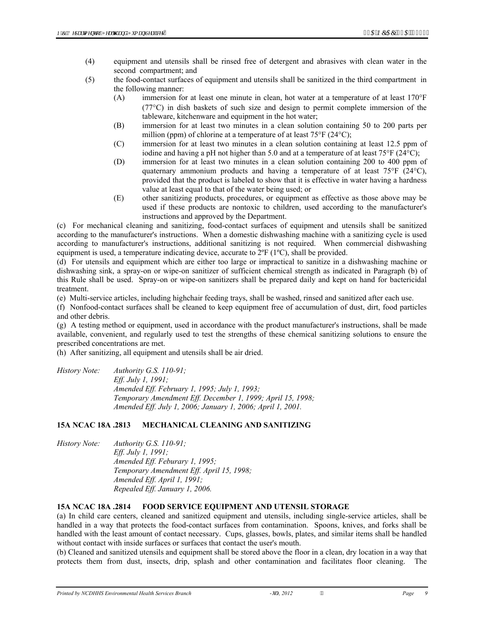- (4) equipment and utensils shall be rinsed free of detergent and abrasives with clean water in the second compartment; and
- (5) the food-contact surfaces of equipment and utensils shall be sanitized in the third compartment in the following manner:
	- (A) immersion for at least one minute in clean, hot water at a temperature of at least 170°F (77°C) in dish baskets of such size and design to permit complete immersion of the tableware, kitchenware and equipment in the hot water;
	- (B) immersion for at least two minutes in a clean solution containing 50 to 200 parts per million (ppm) of chlorine at a temperature of at least 75°F (24°C);
	- (C) immersion for at least two minutes in a clean solution containing at least 12.5 ppm of iodine and having a pH not higher than 5.0 and at a temperature of at least  $75^{\circ}$ F ( $24^{\circ}$ C);
	- (D) immersion for at least two minutes in a clean solution containing 200 to 400 ppm of quaternary ammonium products and having a temperature of at least  $75^{\circ}$  (24 $^{\circ}$ C), provided that the product is labeled to show that it is effective in water having a hardness value at least equal to that of the water being used; or
	- (E) other sanitizing products, procedures, or equipment as effective as those above may be used if these products are nontoxic to children, used according to the manufacturer's instructions and approved by the Department.

(c) For mechanical cleaning and sanitizing, food-contact surfaces of equipment and utensils shall be sanitized according to the manufacturer's instructions. When a domestic dishwashing machine with a sanitizing cycle is used according to manufacturer's instructions, additional sanitizing is not required. When commercial dishwashing equipment is used, a temperature indicating device, accurate to  $2^{\circ}F(1^{\circ}C)$ , shall be provided.

(d) For utensils and equipment which are either too large or impractical to sanitize in a dishwashing machine or dishwashing sink, a spray-on or wipe-on sanitizer of sufficient chemical strength as indicated in Paragraph (b) of this Rule shall be used. Spray-on or wipe-on sanitizers shall be prepared daily and kept on hand for bactericidal treatment.

(e) Multi-service articles, including highchair feeding trays, shall be washed, rinsed and sanitized after each use.

(f) Nonfood-contact surfaces shall be cleaned to keep equipment free of accumulation of dust, dirt, food particles and other debris.

(g) A testing method or equipment, used in accordance with the product manufacturer's instructions, shall be made available, convenient, and regularly used to test the strengths of these chemical sanitizing solutions to ensure the prescribed concentrations are met.

(h) After sanitizing, all equipment and utensils shall be air dried.

| History Note: | Authority G.S. $110-91$ ;                                  |
|---------------|------------------------------------------------------------|
|               | <i>Eff. July 1, 1991;</i>                                  |
|               | Amended Eff. February 1, 1995; July 1, 1993;               |
|               | Temporary Amendment Eff. December 1, 1999; April 15, 1998; |
|               | Amended Eff. July 1, 2006; January 1, 2006; April 1, 2001. |

#### **15A NCAC 18A .2813 MECHANICAL CLEANING AND SANITIZING**

*History Note: Authority G.S. 110-91; Eff. July 1, 1991; Amended Eff. Feburary 1, 1995; Temporary Amendment Eff. April 15, 1998; Amended Eff. April 1, 1991; Repealed Eff. January 1, 2006.* 

# **15A NCAC 18A .2814 FOOD SERVICE EQUIPMENT AND UTENSIL STORAGE**

(a) In child care centers, cleaned and sanitized equipment and utensils, including single-service articles, shall be handled in a way that protects the food-contact surfaces from contamination. Spoons, knives, and forks shall be handled with the least amount of contact necessary. Cups, glasses, bowls, plates, and similar items shall be handled without contact with inside surfaces or surfaces that contact the user's mouth.

(b) Cleaned and sanitized utensils and equipment shall be stored above the floor in a clean, dry location in a way that protects them from dust, insects, drip, splash and other contamination and facilitates floor cleaning. The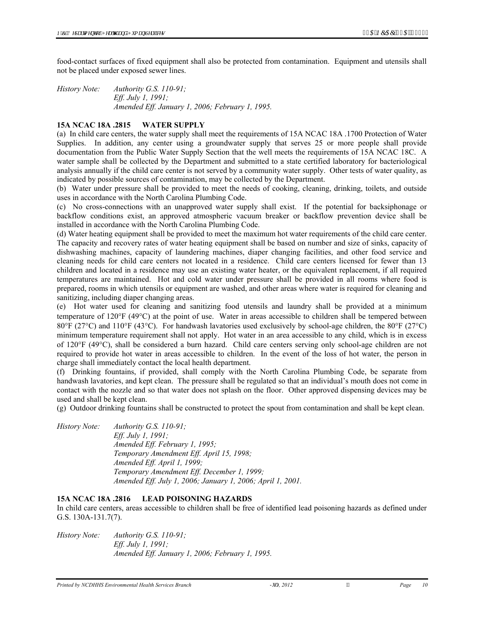food-contact surfaces of fixed equipment shall also be protected from contamination. Equipment and utensils shall not be placed under exposed sewer lines.

*History Note: Authority G.S. 110-91; Eff. July 1, 1991; Amended Eff. January 1, 2006; February 1, 1995.* 

## **15A NCAC 18A .2815 WATER SUPPLY**

(a) In child care centers, the water supply shall meet the requirements of 15A NCAC 18A .1700 Protection of Water Supplies. In addition, any center using a groundwater supply that serves 25 or more people shall provide documentation from the Public Water Supply Section that the well meets the requirements of 15A NCAC 18C. A water sample shall be collected by the Department and submitted to a state certified laboratory for bacteriological analysis annually if the child care center is not served by a community water supply. Other tests of water quality, as indicated by possible sources of contamination, may be collected by the Department.

(b) Water under pressure shall be provided to meet the needs of cooking, cleaning, drinking, toilets, and outside uses in accordance with the North Carolina Plumbing Code.

(c) No cross-connections with an unapproved water supply shall exist. If the potential for backsiphonage or backflow conditions exist, an approved atmospheric vacuum breaker or backflow prevention device shall be installed in accordance with the North Carolina Plumbing Code.

(d) Water heating equipment shall be provided to meet the maximum hot water requirements of the child care center. The capacity and recovery rates of water heating equipment shall be based on number and size of sinks, capacity of dishwashing machines, capacity of laundering machines, diaper changing facilities, and other food service and cleaning needs for child care centers not located in a residence. Child care centers licensed for fewer than 13 children and located in a residence may use an existing water heater, or the equivalent replacement, if all required temperatures are maintained. Hot and cold water under pressure shall be provided in all rooms where food is prepared, rooms in which utensils or equipment are washed, and other areas where water is required for cleaning and sanitizing, including diaper changing areas.

(e) Hot water used for cleaning and sanitizing food utensils and laundry shall be provided at a minimum temperature of 120°F (49°C) at the point of use. Water in areas accessible to children shall be tempered between 80°F (27°C) and 110°F (43°C). For handwash lavatories used exclusively by school-age children, the 80°F (27°C) minimum temperature requirement shall not apply. Hot water in an area accessible to any child, which is in excess of 120°F (49°C), shall be considered a burn hazard. Child care centers serving only school-age children are not required to provide hot water in areas accessible to children. In the event of the loss of hot water, the person in charge shall immediately contact the local health department.

(f) Drinking fountains, if provided, shall comply with the North Carolina Plumbing Code, be separate from handwash lavatories, and kept clean. The pressure shall be regulated so that an individual's mouth does not come in contact with the nozzle and so that water does not splash on the floor. Other approved dispensing devices may be used and shall be kept clean.

(g) Outdoor drinking fountains shall be constructed to protect the spout from contamination and shall be kept clean.

*History Note: Authority G.S. 110-91; Eff. July 1, 1991; Amended Eff. February 1, 1995; Temporary Amendment Eff. April 15, 1998; Amended Eff. April 1, 1999; Temporary Amendment Eff. December 1, 1999; Amended Eff. July 1, 2006; January 1, 2006; April 1, 2001.* 

# **15A NCAC 18A .2816 LEAD POISONING HAZARDS**

In child care centers, areas accessible to children shall be free of identified lead poisoning hazards as defined under G.S. 130A-131.7(7).

*History Note: Authority G.S. 110-91; Eff. July 1, 1991; Amended Eff. January 1, 2006; February 1, 1995.*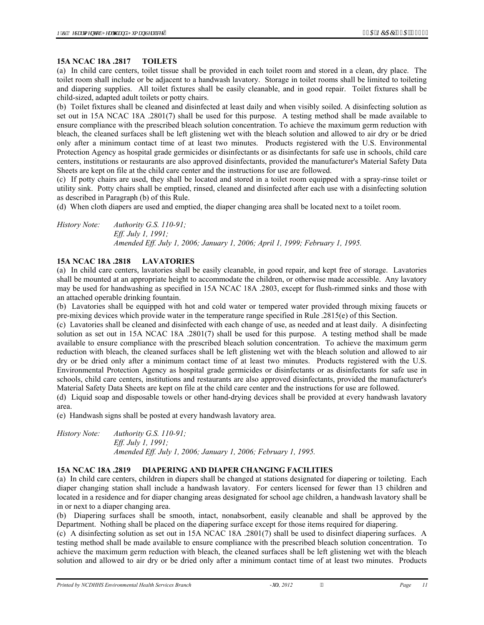#### **15A NCAC 18A .2817 TOILETS**

(a) In child care centers, toilet tissue shall be provided in each toilet room and stored in a clean, dry place. The toilet room shall include or be adjacent to a handwash lavatory. Storage in toilet rooms shall be limited to toileting and diapering supplies. All toilet fixtures shall be easily cleanable, and in good repair. Toilet fixtures shall be child-sized, adapted adult toilets or potty chairs.

(b) Toilet fixtures shall be cleaned and disinfected at least daily and when visibly soiled. A disinfecting solution as set out in 15A NCAC 18A .2801(7) shall be used for this purpose. A testing method shall be made available to ensure compliance with the prescribed bleach solution concentration. To achieve the maximum germ reduction with bleach, the cleaned surfaces shall be left glistening wet with the bleach solution and allowed to air dry or be dried only after a minimum contact time of at least two minutes. Products registered with the U.S. Environmental Protection Agency as hospital grade germicides or disinfectants or as disinfectants for safe use in schools, child care centers, institutions or restaurants are also approved disinfectants, provided the manufacturer's Material Safety Data Sheets are kept on file at the child care center and the instructions for use are followed.

(c) If potty chairs are used, they shall be located and stored in a toilet room equipped with a spray-rinse toilet or utility sink. Potty chairs shall be emptied, rinsed, cleaned and disinfected after each use with a disinfecting solution as described in Paragraph (b) of this Rule.

(d) When cloth diapers are used and emptied, the diaper changing area shall be located next to a toilet room.

*History Note: Authority G.S. 110-91; Eff. July 1, 1991; Amended Eff. July 1, 2006; January 1, 2006; April 1, 1999; February 1, 1995.* 

#### **15A NCAC 18A .2818 LAVATORIES**

(a) In child care centers, lavatories shall be easily cleanable, in good repair, and kept free of storage. Lavatories shall be mounted at an appropriate height to accommodate the children, or otherwise made accessible. Any lavatory may be used for handwashing as specified in 15A NCAC 18A .2803, except for flush-rimmed sinks and those with an attached operable drinking fountain.

(b) Lavatories shall be equipped with hot and cold water or tempered water provided through mixing faucets or pre-mixing devices which provide water in the temperature range specified in Rule .2815(e) of this Section.

(c) Lavatories shall be cleaned and disinfected with each change of use, as needed and at least daily. A disinfecting solution as set out in 15A NCAC 18A .2801(7) shall be used for this purpose. A testing method shall be made available to ensure compliance with the prescribed bleach solution concentration. To achieve the maximum germ reduction with bleach, the cleaned surfaces shall be left glistening wet with the bleach solution and allowed to air dry or be dried only after a minimum contact time of at least two minutes. Products registered with the U.S. Environmental Protection Agency as hospital grade germicides or disinfectants or as disinfectants for safe use in schools, child care centers, institutions and restaurants are also approved disinfectants, provided the manufacturer's Material Safety Data Sheets are kept on file at the child care center and the instructions for use are followed.

(d) Liquid soap and disposable towels or other hand-drying devices shall be provided at every handwash lavatory area.

(e) Handwash signs shall be posted at every handwash lavatory area.

*History Note: Authority G.S. 110-91; Eff. July 1, 1991; Amended Eff. July 1, 2006; January 1, 2006; February 1, 1995.* 

#### **15A NCAC 18A .2819 DIAPERING AND DIAPER CHANGING FACILITIES**

(a) In child care centers, children in diapers shall be changed at stations designated for diapering or toileting. Each diaper changing station shall include a handwash lavatory. For centers licensed for fewer than 13 children and located in a residence and for diaper changing areas designated for school age children, a handwash lavatory shall be in or next to a diaper changing area.

(b) Diapering surfaces shall be smooth, intact, nonabsorbent, easily cleanable and shall be approved by the Department. Nothing shall be placed on the diapering surface except for those items required for diapering.

(c) A disinfecting solution as set out in 15A NCAC 18A .2801(7) shall be used to disinfect diapering surfaces. A testing method shall be made available to ensure compliance with the prescribed bleach solution concentration. To achieve the maximum germ reduction with bleach, the cleaned surfaces shall be left glistening wet with the bleach solution and allowed to air dry or be dried only after a minimum contact time of at least two minutes. Products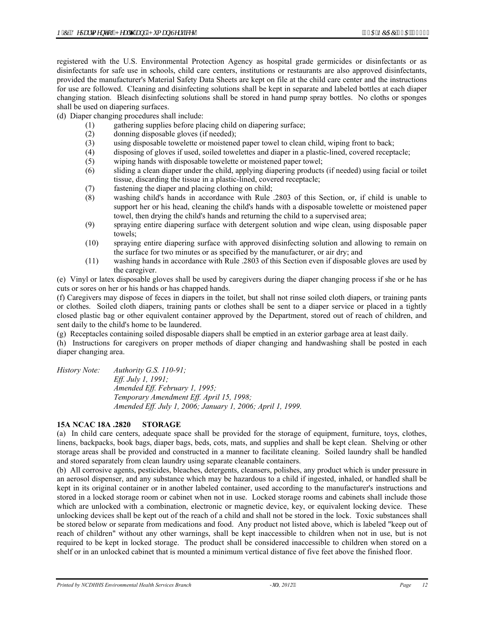registered with the U.S. Environmental Protection Agency as hospital grade germicides or disinfectants or as disinfectants for safe use in schools, child care centers, institutions or restaurants are also approved disinfectants, provided the manufacturer's Material Safety Data Sheets are kept on file at the child care center and the instructions for use are followed. Cleaning and disinfecting solutions shall be kept in separate and labeled bottles at each diaper changing station. Bleach disinfecting solutions shall be stored in hand pump spray bottles. No cloths or sponges shall be used on diapering surfaces.

(d) Diaper changing procedures shall include:

- (1) gathering supplies before placing child on diapering surface;
- (2) donning disposable gloves (if needed);
- (3) using disposable towelette or moistened paper towel to clean child, wiping front to back;
- (4) disposing of gloves if used, soiled towelettes and diaper in a plastic-lined, covered receptacle;
- (5) wiping hands with disposable towelette or moistened paper towel;
- (6) sliding a clean diaper under the child, applying diapering products (if needed) using facial or toilet tissue, discarding the tissue in a plastic-lined, covered receptacle;
- (7) fastening the diaper and placing clothing on child;
- (8) washing child's hands in accordance with Rule .2803 of this Section, or, if child is unable to support her or his head, cleaning the child's hands with a disposable towelette or moistened paper towel, then drying the child's hands and returning the child to a supervised area;
- (9) spraying entire diapering surface with detergent solution and wipe clean, using disposable paper towels;
- (10) spraying entire diapering surface with approved disinfecting solution and allowing to remain on the surface for two minutes or as specified by the manufacturer, or air dry; and
- (11) washing hands in accordance with Rule .2803 of this Section even if disposable gloves are used by the caregiver.

(e) Vinyl or latex disposable gloves shall be used by caregivers during the diaper changing process if she or he has cuts or sores on her or his hands or has chapped hands.

(f) Caregivers may dispose of feces in diapers in the toilet, but shall not rinse soiled cloth diapers, or training pants or clothes. Soiled cloth diapers, training pants or clothes shall be sent to a diaper service or placed in a tightly closed plastic bag or other equivalent container approved by the Department, stored out of reach of children, and sent daily to the child's home to be laundered.

(g) Receptacles containing soiled disposable diapers shall be emptied in an exterior garbage area at least daily.

(h) Instructions for caregivers on proper methods of diaper changing and handwashing shall be posted in each diaper changing area.

*History Note: Authority G.S. 110-91; Eff. July 1, 1991; Amended Eff. February 1, 1995; Temporary Amendment Eff. April 15, 1998; Amended Eff. July 1, 2006; January 1, 2006; April 1, 1999.* 

#### **15A NCAC 18A .2820 STORAGE**

(a) In child care centers, adequate space shall be provided for the storage of equipment, furniture, toys, clothes, linens, backpacks, book bags, diaper bags, beds, cots, mats, and supplies and shall be kept clean. Shelving or other storage areas shall be provided and constructed in a manner to facilitate cleaning. Soiled laundry shall be handled and stored separately from clean laundry using separate cleanable containers.

(b) All corrosive agents, pesticides, bleaches, detergents, cleansers, polishes, any product which is under pressure in an aerosol dispenser, and any substance which may be hazardous to a child if ingested, inhaled, or handled shall be kept in its original container or in another labeled container, used according to the manufacturer's instructions and stored in a locked storage room or cabinet when not in use. Locked storage rooms and cabinets shall include those which are unlocked with a combination, electronic or magnetic device, key, or equivalent locking device. These unlocking devices shall be kept out of the reach of a child and shall not be stored in the lock. Toxic substances shall be stored below or separate from medications and food. Any product not listed above, which is labeled "keep out of reach of children" without any other warnings, shall be kept inaccessible to children when not in use, but is not required to be kept in locked storage. The product shall be considered inaccessible to children when stored on a shelf or in an unlocked cabinet that is mounted a minimum vertical distance of five feet above the finished floor.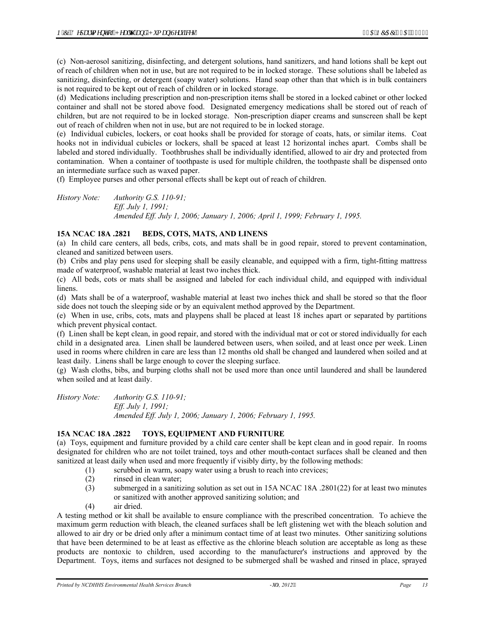(c) Non-aerosol sanitizing, disinfecting, and detergent solutions, hand sanitizers, and hand lotions shall be kept out of reach of children when not in use, but are not required to be in locked storage. These solutions shall be labeled as sanitizing, disinfecting, or detergent (soapy water) solutions. Hand soap other than that which is in bulk containers is not required to be kept out of reach of children or in locked storage.

(d) Medications including prescription and non-prescription items shall be stored in a locked cabinet or other locked container and shall not be stored above food. Designated emergency medications shall be stored out of reach of children, but are not required to be in locked storage. Non-prescription diaper creams and sunscreen shall be kept out of reach of children when not in use, but are not required to be in locked storage.

(e) Individual cubicles, lockers, or coat hooks shall be provided for storage of coats, hats, or similar items. Coat hooks not in individual cubicles or lockers, shall be spaced at least 12 horizontal inches apart. Combs shall be labeled and stored individually. Toothbrushes shall be individually identified, allowed to air dry and protected from contamination. When a container of toothpaste is used for multiple children, the toothpaste shall be dispensed onto an intermediate surface such as waxed paper.

(f) Employee purses and other personal effects shall be kept out of reach of children.

*History Note: Authority G.S. 110-91; Eff. July 1, 1991; Amended Eff. July 1, 2006; January 1, 2006; April 1, 1999; February 1, 1995.* 

# **15A NCAC 18A .2821 BEDS, COTS, MATS, AND LINENS**

(a) In child care centers, all beds, cribs, cots, and mats shall be in good repair, stored to prevent contamination, cleaned and sanitized between users.

(b) Cribs and play pens used for sleeping shall be easily cleanable, and equipped with a firm, tight-fitting mattress made of waterproof, washable material at least two inches thick.

(c) All beds, cots or mats shall be assigned and labeled for each individual child, and equipped with individual linens.

(d) Mats shall be of a waterproof, washable material at least two inches thick and shall be stored so that the floor side does not touch the sleeping side or by an equivalent method approved by the Department.

(e) When in use, cribs, cots, mats and playpens shall be placed at least 18 inches apart or separated by partitions which prevent physical contact.

(f) Linen shall be kept clean, in good repair, and stored with the individual mat or cot or stored individually for each child in a designated area. Linen shall be laundered between users, when soiled, and at least once per week. Linen used in rooms where children in care are less than 12 months old shall be changed and laundered when soiled and at least daily. Linens shall be large enough to cover the sleeping surface.

(g) Wash cloths, bibs, and burping cloths shall not be used more than once until laundered and shall be laundered when soiled and at least daily.

*History Note: Authority G.S. 110-91; Eff. July 1, 1991; Amended Eff. July 1, 2006; January 1, 2006; February 1, 1995.* 

# **15A NCAC 18A .2822 TOYS, EQUIPMENT AND FURNITURE**

(a) Toys, equipment and furniture provided by a child care center shall be kept clean and in good repair. In rooms designated for children who are not toilet trained, toys and other mouth-contact surfaces shall be cleaned and then sanitized at least daily when used and more frequently if visibly dirty, by the following methods:

- (1) scrubbed in warm, soapy water using a brush to reach into crevices;
- (2) rinsed in clean water;
- (3) submerged in a sanitizing solution as set out in 15A NCAC 18A .2801(22) for at least two minutes or sanitized with another approved sanitizing solution; and
- (4) air dried.

A testing method or kit shall be available to ensure compliance with the prescribed concentration. To achieve the maximum germ reduction with bleach, the cleaned surfaces shall be left glistening wet with the bleach solution and allowed to air dry or be dried only after a minimum contact time of at least two minutes. Other sanitizing solutions that have been determined to be at least as effective as the chlorine bleach solution are acceptable as long as these products are nontoxic to children, used according to the manufacturer's instructions and approved by the Department. Toys, items and surfaces not designed to be submerged shall be washed and rinsed in place, sprayed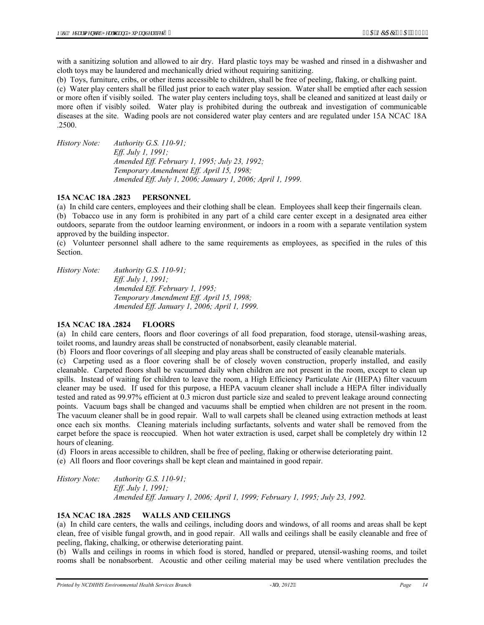with a sanitizing solution and allowed to air dry. Hard plastic toys may be washed and rinsed in a dishwasher and cloth toys may be laundered and mechanically dried without requiring sanitizing.

(b) Toys, furniture, cribs, or other items accessible to children, shall be free of peeling, flaking, or chalking paint.

(c) Water play centers shall be filled just prior to each water play session. Water shall be emptied after each session or more often if visibly soiled. The water play centers including toys, shall be cleaned and sanitized at least daily or more often if visibly soiled. Water play is prohibited during the outbreak and investigation of communicable diseases at the site. Wading pools are not considered water play centers and are regulated under 15A NCAC 18A .2500.

*History Note: Authority G.S. 110-91; Eff. July 1, 1991; Amended Eff. February 1, 1995; July 23, 1992; Temporary Amendment Eff. April 15, 1998; Amended Eff. July 1, 2006; January 1, 2006; April 1, 1999.* 

#### **15A NCAC 18A .2823 PERSONNEL**

(a) In child care centers, employees and their clothing shall be clean. Employees shall keep their fingernails clean. (b) Tobacco use in any form is prohibited in any part of a child care center except in a designated area either outdoors, separate from the outdoor learning environment, or indoors in a room with a separate ventilation system approved by the building inspector.

(c) Volunteer personnel shall adhere to the same requirements as employees, as specified in the rules of this Section.

*History Note: Authority G.S. 110-91; Eff. July 1, 1991; Amended Eff. February 1, 1995; Temporary Amendment Eff. April 15, 1998; Amended Eff. January 1, 2006; April 1, 1999.* 

#### **15A NCAC 18A .2824 FLOORS**

(a) In child care centers, floors and floor coverings of all food preparation, food storage, utensil-washing areas, toilet rooms, and laundry areas shall be constructed of nonabsorbent, easily cleanable material.

(b) Floors and floor coverings of all sleeping and play areas shall be constructed of easily cleanable materials.

(c) Carpeting used as a floor covering shall be of closely woven construction, properly installed, and easily cleanable. Carpeted floors shall be vacuumed daily when children are not present in the room, except to clean up spills. Instead of waiting for children to leave the room, a High Efficiency Particulate Air (HEPA) filter vacuum cleaner may be used. If used for this purpose, a HEPA vacuum cleaner shall include a HEPA filter individually tested and rated as 99.97% efficient at 0.3 micron dust particle size and sealed to prevent leakage around connecting points. Vacuum bags shall be changed and vacuums shall be emptied when children are not present in the room. The vacuum cleaner shall be in good repair. Wall to wall carpets shall be cleaned using extraction methods at least once each six months. Cleaning materials including surfactants, solvents and water shall be removed from the carpet before the space is reoccupied. When hot water extraction is used, carpet shall be completely dry within 12 hours of cleaning.

(d) Floors in areas accessible to children, shall be free of peeling, flaking or otherwise deteriorating paint.

(e) All floors and floor coverings shall be kept clean and maintained in good repair.

*History Note: Authority G.S. 110-91; Eff. July 1, 1991; Amended Eff. January 1, 2006; April 1, 1999; February 1, 1995; July 23, 1992.* 

#### **15A NCAC 18A .2825 WALLS AND CEILINGS**

(a) In child care centers, the walls and ceilings, including doors and windows, of all rooms and areas shall be kept clean, free of visible fungal growth, and in good repair. All walls and ceilings shall be easily cleanable and free of peeling, flaking, chalking, or otherwise deteriorating paint.

(b) Walls and ceilings in rooms in which food is stored, handled or prepared, utensil-washing rooms, and toilet rooms shall be nonabsorbent. Acoustic and other ceiling material may be used where ventilation precludes the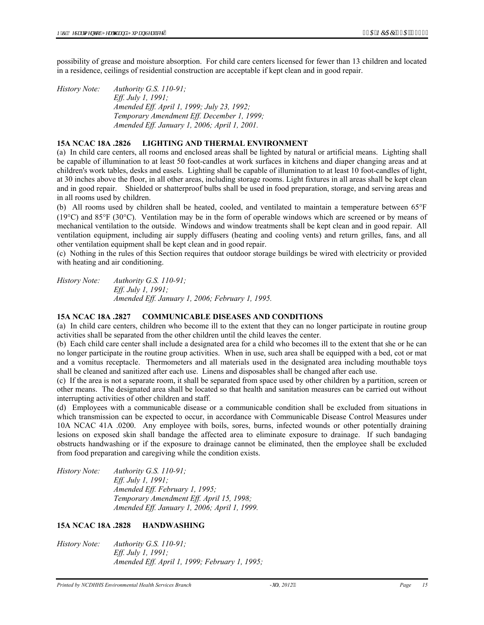possibility of grease and moisture absorption. For child care centers licensed for fewer than 13 children and located in a residence, ceilings of residential construction are acceptable if kept clean and in good repair.

*History Note: Authority G.S. 110-91; Eff. July 1, 1991; Amended Eff. April 1, 1999; July 23, 1992; Temporary Amendment Eff. December 1, 1999; Amended Eff. January 1, 2006; April 1, 2001.* 

#### **15A NCAC 18A .2826 LIGHTING AND THERMAL ENVIRONMENT**

(a) In child care centers, all rooms and enclosed areas shall be lighted by natural or artificial means. Lighting shall be capable of illumination to at least 50 foot-candles at work surfaces in kitchens and diaper changing areas and at children's work tables, desks and easels. Lighting shall be capable of illumination to at least 10 foot-candles of light, at 30 inches above the floor, in all other areas, including storage rooms. Light fixtures in all areas shall be kept clean and in good repair. Shielded or shatterproof bulbs shall be used in food preparation, storage, and serving areas and in all rooms used by children.

(b) All rooms used by children shall be heated, cooled, and ventilated to maintain a temperature between 65°F (19°C) and 85°F (30°C). Ventilation may be in the form of operable windows which are screened or by means of mechanical ventilation to the outside. Windows and window treatments shall be kept clean and in good repair. All ventilation equipment, including air supply diffusers (heating and cooling vents) and return grilles, fans, and all other ventilation equipment shall be kept clean and in good repair.

(c) Nothing in the rules of this Section requires that outdoor storage buildings be wired with electricity or provided with heating and air conditioning.

*History Note: Authority G.S. 110-91; Eff. July 1, 1991; Amended Eff. January 1, 2006; February 1, 1995.* 

#### **15A NCAC 18A .2827 COMMUNICABLE DISEASES AND CONDITIONS**

(a) In child care centers, children who become ill to the extent that they can no longer participate in routine group activities shall be separated from the other children until the child leaves the center.

(b) Each child care center shall include a designated area for a child who becomes ill to the extent that she or he can no longer participate in the routine group activities. When in use, such area shall be equipped with a bed, cot or mat and a vomitus receptacle. Thermometers and all materials used in the designated area including mouthable toys shall be cleaned and sanitized after each use. Linens and disposables shall be changed after each use.

(c) If the area is not a separate room, it shall be separated from space used by other children by a partition, screen or other means. The designated area shall be located so that health and sanitation measures can be carried out without interrupting activities of other children and staff.

(d) Employees with a communicable disease or a communicable condition shall be excluded from situations in which transmission can be expected to occur, in accordance with Communicable Disease Control Measures under 10A NCAC 41A .0200. Any employee with boils, sores, burns, infected wounds or other potentially draining lesions on exposed skin shall bandage the affected area to eliminate exposure to drainage. If such bandaging obstructs handwashing or if the exposure to drainage cannot be eliminated, then the employee shall be excluded from food preparation and caregiving while the condition exists.

*History Note: Authority G.S. 110-91; Eff. July 1, 1991; Amended Eff. February 1, 1995; Temporary Amendment Eff. April 15, 1998; Amended Eff. January 1, 2006; April 1, 1999.* 

## **15A NCAC 18A .2828 HANDWASHING**

*History Note: Authority G.S. 110-91; Eff. July 1, 1991; Amended Eff. April 1, 1999; February 1, 1995;*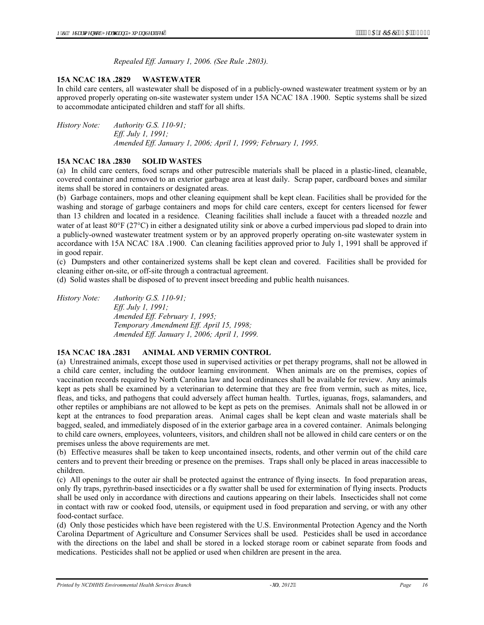*Repealed Eff. January 1, 2006. (See Rule .2803).* 

#### **15A NCAC 18A .2829 WASTEWATER**

In child care centers, all wastewater shall be disposed of in a publicly-owned wastewater treatment system or by an approved properly operating on-site wastewater system under 15A NCAC 18A .1900. Septic systems shall be sized to accommodate anticipated children and staff for all shifts.

*History Note: Authority G.S. 110-91; Eff. July 1, 1991; Amended Eff. January 1, 2006; April 1, 1999; February 1, 1995.* 

#### **15A NCAC 18A .2830 SOLID WASTES**

(a) In child care centers, food scraps and other putrescible materials shall be placed in a plastic-lined, cleanable, covered container and removed to an exterior garbage area at least daily. Scrap paper, cardboard boxes and similar items shall be stored in containers or designated areas.

(b) Garbage containers, mops and other cleaning equipment shall be kept clean. Facilities shall be provided for the washing and storage of garbage containers and mops for child care centers, except for centers licensed for fewer than 13 children and located in a residence. Cleaning facilities shall include a faucet with a threaded nozzle and water of at least 80°F (27°C) in either a designated utility sink or above a curbed impervious pad sloped to drain into a publicly-owned wastewater treatment system or by an approved properly operating on-site wastewater system in accordance with 15A NCAC 18A .1900. Can cleaning facilities approved prior to July 1, 1991 shall be approved if in good repair.

(c) Dumpsters and other containerized systems shall be kept clean and covered. Facilities shall be provided for cleaning either on-site, or off-site through a contractual agreement.

(d) Solid wastes shall be disposed of to prevent insect breeding and public health nuisances.

*History Note: Authority G.S. 110-91; Eff. July 1, 1991; Amended Eff. February 1, 1995; Temporary Amendment Eff. April 15, 1998; Amended Eff. January 1, 2006; April 1, 1999.* 

#### **15A NCAC 18A .2831 ANIMAL AND VERMIN CONTROL**

(a) Unrestrained animals, except those used in supervised activities or pet therapy programs, shall not be allowed in a child care center, including the outdoor learning environment. When animals are on the premises, copies of vaccination records required by North Carolina law and local ordinances shall be available for review. Any animals kept as pets shall be examined by a veterinarian to determine that they are free from vermin, such as mites, lice, fleas, and ticks, and pathogens that could adversely affect human health. Turtles, iguanas, frogs, salamanders, and other reptiles or amphibians are not allowed to be kept as pets on the premises. Animals shall not be allowed in or kept at the entrances to food preparation areas. Animal cages shall be kept clean and waste materials shall be bagged, sealed, and immediately disposed of in the exterior garbage area in a covered container. Animals belonging to child care owners, employees, volunteers, visitors, and children shall not be allowed in child care centers or on the premises unless the above requirements are met.

(b) Effective measures shall be taken to keep uncontained insects, rodents, and other vermin out of the child care centers and to prevent their breeding or presence on the premises. Traps shall only be placed in areas inaccessible to children.

(c) All openings to the outer air shall be protected against the entrance of flying insects. In food preparation areas, only fly traps, pyrethrin-based insecticides or a fly swatter shall be used for extermination of flying insects. Products shall be used only in accordance with directions and cautions appearing on their labels. Insecticides shall not come in contact with raw or cooked food, utensils, or equipment used in food preparation and serving, or with any other food-contact surface.

(d) Only those pesticides which have been registered with the U.S. Environmental Protection Agency and the North Carolina Department of Agriculture and Consumer Services shall be used. Pesticides shall be used in accordance with the directions on the label and shall be stored in a locked storage room or cabinet separate from foods and medications. Pesticides shall not be applied or used when children are present in the area.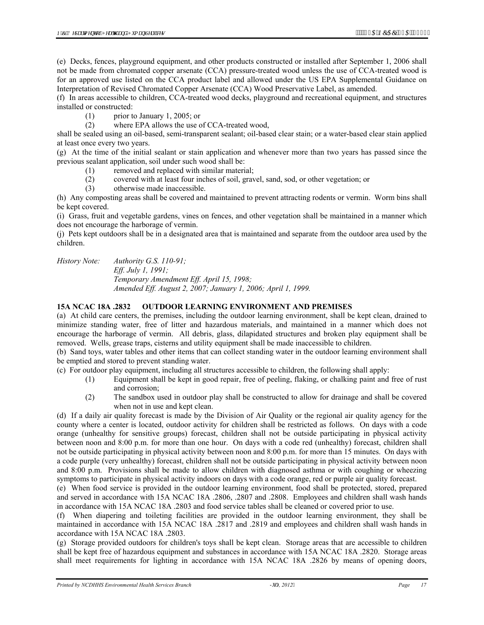(e) Decks, fences, playground equipment, and other products constructed or installed after September 1, 2006 shall not be made from chromated copper arsenate (CCA) pressure-treated wood unless the use of CCA-treated wood is for an approved use listed on the CCA product label and allowed under the US EPA Supplemental Guidance on Interpretation of Revised Chromated Copper Arsenate (CCA) Wood Preservative Label, as amended.

(f) In areas accessible to children, CCA-treated wood decks, playground and recreational equipment, and structures installed or constructed:

(1) prior to January 1, 2005; or

(2) where EPA allows the use of CCA-treated wood,

shall be sealed using an oil-based, semi-transparent sealant; oil-based clear stain; or a water-based clear stain applied at least once every two years.

(g) At the time of the initial sealant or stain application and whenever more than two years has passed since the previous sealant application, soil under such wood shall be:

(1) removed and replaced with similar material;

(2) covered with at least four inches of soil, gravel, sand, sod, or other vegetation; or

(3) otherwise made inaccessible.

(h) Any composting areas shall be covered and maintained to prevent attracting rodents or vermin. Worm bins shall be kept covered.

(i) Grass, fruit and vegetable gardens, vines on fences, and other vegetation shall be maintained in a manner which does not encourage the harborage of vermin.

(j) Pets kept outdoors shall be in a designated area that is maintained and separate from the outdoor area used by the children.

*History Note: Authority G.S. 110-91;* 

*Eff. July 1, 1991; Temporary Amendment Eff. April 15, 1998; Amended Eff. August 2, 2007; January 1, 2006; April 1, 1999.* 

#### **15A NCAC 18A .2832 OUTDOOR LEARNING ENVIRONMENT AND PREMISES**

(a) At child care centers, the premises, including the outdoor learning environment, shall be kept clean, drained to minimize standing water, free of litter and hazardous materials, and maintained in a manner which does not encourage the harborage of vermin. All debris, glass, dilapidated structures and broken play equipment shall be removed. Wells, grease traps, cisterns and utility equipment shall be made inaccessible to children.

(b) Sand toys, water tables and other items that can collect standing water in the outdoor learning environment shall be emptied and stored to prevent standing water.

(c) For outdoor play equipment, including all structures accessible to children, the following shall apply:

- (1) Equipment shall be kept in good repair, free of peeling, flaking, or chalking paint and free of rust and corrosion;
- (2) The sandbox used in outdoor play shall be constructed to allow for drainage and shall be covered when not in use and kept clean.

(d) If a daily air quality forecast is made by the Division of Air Quality or the regional air quality agency for the county where a center is located, outdoor activity for children shall be restricted as follows. On days with a code orange (unhealthy for sensitive groups) forecast, children shall not be outside participating in physical activity between noon and 8:00 p.m. for more than one hour. On days with a code red (unhealthy) forecast, children shall not be outside participating in physical activity between noon and 8:00 p.m. for more than 15 minutes. On days with a code purple (very unhealthy) forecast, children shall not be outside participating in physical activity between noon and 8:00 p.m. Provisions shall be made to allow children with diagnosed asthma or with coughing or wheezing symptoms to participate in physical activity indoors on days with a code orange, red or purple air quality forecast.

(e) When food service is provided in the outdoor learning environment, food shall be protected, stored, prepared and served in accordance with 15A NCAC 18A .2806, .2807 and .2808. Employees and children shall wash hands in accordance with 15A NCAC 18A .2803 and food service tables shall be cleaned or covered prior to use.

(f) When diapering and toileting facilities are provided in the outdoor learning environment, they shall be maintained in accordance with 15A NCAC 18A .2817 and .2819 and employees and children shall wash hands in accordance with 15A NCAC 18A .2803.

(g) Storage provided outdoors for children's toys shall be kept clean. Storage areas that are accessible to children shall be kept free of hazardous equipment and substances in accordance with 15A NCAC 18A .2820. Storage areas shall meet requirements for lighting in accordance with 15A NCAC 18A .2826 by means of opening doors,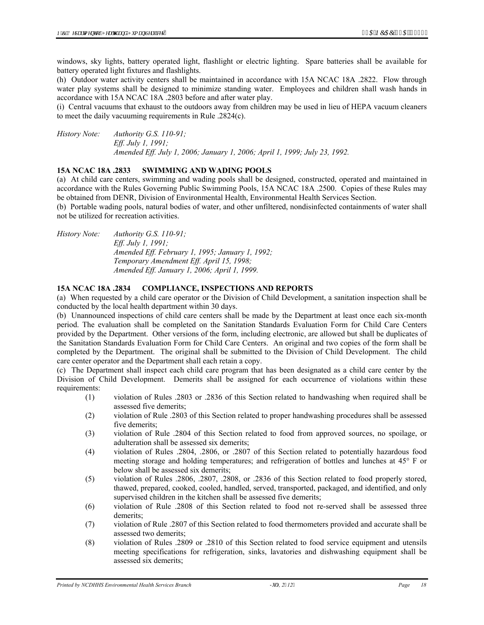windows, sky lights, battery operated light, flashlight or electric lighting. Spare batteries shall be available for battery operated light fixtures and flashlights.

(h) Outdoor water activity centers shall be maintained in accordance with 15A NCAC 18A .2822. Flow through water play systems shall be designed to minimize standing water. Employees and children shall wash hands in accordance with 15A NCAC 18A .2803 before and after water play.

(i) Central vacuums that exhaust to the outdoors away from children may be used in lieu of HEPA vacuum cleaners to meet the daily vacuuming requirements in Rule .2824(c).

*History Note: Authority G.S. 110-91; Eff. July 1, 1991; Amended Eff. July 1, 2006; January 1, 2006; April 1, 1999; July 23, 1992.* 

#### **15A NCAC 18A .2833 SWIMMING AND WADING POOLS**

(a) At child care centers, swimming and wading pools shall be designed, constructed, operated and maintained in accordance with the Rules Governing Public Swimming Pools, 15A NCAC 18A .2500. Copies of these Rules may be obtained from DENR, Division of Environmental Health, Environmental Health Services Section.

(b) Portable wading pools, natural bodies of water, and other unfiltered, nondisinfected containments of water shall not be utilized for recreation activities.

*History Note: Authority G.S. 110-91; Eff. July 1, 1991; Amended Eff. February 1, 1995; January 1, 1992; Temporary Amendment Eff. April 15, 1998; Amended Eff. January 1, 2006; April 1, 1999.* 

#### **15A NCAC 18A .2834 COMPLIANCE, INSPECTIONS AND REPORTS**

(a) When requested by a child care operator or the Division of Child Development, a sanitation inspection shall be conducted by the local health department within 30 days.

(b) Unannounced inspections of child care centers shall be made by the Department at least once each six-month period. The evaluation shall be completed on the Sanitation Standards Evaluation Form for Child Care Centers provided by the Department. Other versions of the form, including electronic, are allowed but shall be duplicates of the Sanitation Standards Evaluation Form for Child Care Centers. An original and two copies of the form shall be completed by the Department. The original shall be submitted to the Division of Child Development. The child care center operator and the Department shall each retain a copy.

(c) The Department shall inspect each child care program that has been designated as a child care center by the Division of Child Development. Demerits shall be assigned for each occurrence of violations within these requirements:

- (1) violation of Rules .2803 or .2836 of this Section related to handwashing when required shall be assessed five demerits;
- (2) violation of Rule .2803 of this Section related to proper handwashing procedures shall be assessed five demerits;
- (3) violation of Rule .2804 of this Section related to food from approved sources, no spoilage, or adulteration shall be assessed six demerits;
- (4) violation of Rules .2804, .2806, or .2807 of this Section related to potentially hazardous food meeting storage and holding temperatures; and refrigeration of bottles and lunches at 45° F or below shall be assessed six demerits;
- (5) violation of Rules .2806, .2807, .2808, or .2836 of this Section related to food properly stored, thawed, prepared, cooked, cooled, handled, served, transported, packaged, and identified, and only supervised children in the kitchen shall be assessed five demerits;
- (6) violation of Rule .2808 of this Section related to food not re-served shall be assessed three demerits;
- (7) violation of Rule .2807 of this Section related to food thermometers provided and accurate shall be assessed two demerits;
- (8) violation of Rules .2809 or .2810 of this Section related to food service equipment and utensils meeting specifications for refrigeration, sinks, lavatories and dishwashing equipment shall be assessed six demerits;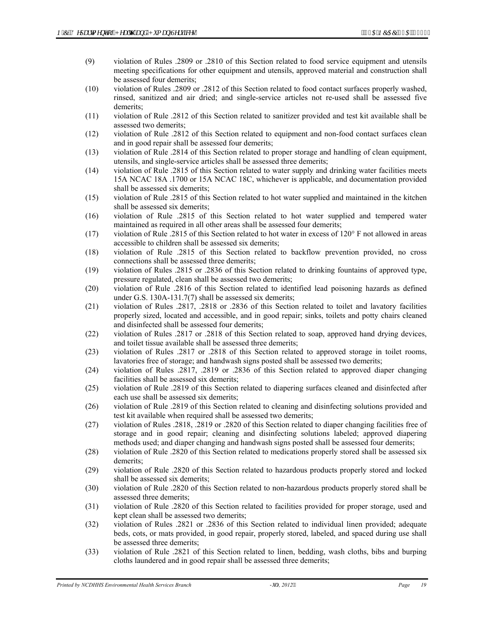- (9) violation of Rules .2809 or .2810 of this Section related to food service equipment and utensils meeting specifications for other equipment and utensils, approved material and construction shall be assessed four demerits;
- (10) violation of Rules .2809 or .2812 of this Section related to food contact surfaces properly washed, rinsed, sanitized and air dried; and single-service articles not re-used shall be assessed five demerits;
- (11) violation of Rule .2812 of this Section related to sanitizer provided and test kit available shall be assessed two demerits;
- (12) violation of Rule .2812 of this Section related to equipment and non-food contact surfaces clean and in good repair shall be assessed four demerits;
- (13) violation of Rule .2814 of this Section related to proper storage and handling of clean equipment, utensils, and single-service articles shall be assessed three demerits;
- (14) violation of Rule .2815 of this Section related to water supply and drinking water facilities meets 15A NCAC 18A .1700 or 15A NCAC 18C, whichever is applicable, and documentation provided shall be assessed six demerits;
- (15) violation of Rule .2815 of this Section related to hot water supplied and maintained in the kitchen shall be assessed six demerits;
- (16) violation of Rule .2815 of this Section related to hot water supplied and tempered water maintained as required in all other areas shall be assessed four demerits;
- (17) violation of Rule .2815 of this Section related to hot water in excess of 120° F not allowed in areas accessible to children shall be assessed six demerits;
- (18) violation of Rule .2815 of this Section related to backflow prevention provided, no cross connections shall be assessed three demerits;
- (19) violation of Rules .2815 or .2836 of this Section related to drinking fountains of approved type, pressure regulated, clean shall be assessed two demerits;
- (20) violation of Rule .2816 of this Section related to identified lead poisoning hazards as defined under G.S. 130A-131.7(7) shall be assessed six demerits;
- (21) violation of Rules .2817, .2818 or .2836 of this Section related to toilet and lavatory facilities properly sized, located and accessible, and in good repair; sinks, toilets and potty chairs cleaned and disinfected shall be assessed four demerits;
- (22) violation of Rules .2817 or .2818 of this Section related to soap, approved hand drying devices, and toilet tissue available shall be assessed three demerits;
- (23) violation of Rules .2817 or .2818 of this Section related to approved storage in toilet rooms, lavatories free of storage; and handwash signs posted shall be assessed two demerits;
- (24) violation of Rules .2817, .2819 or .2836 of this Section related to approved diaper changing facilities shall be assessed six demerits;
- (25) violation of Rule .2819 of this Section related to diapering surfaces cleaned and disinfected after each use shall be assessed six demerits;
- (26) violation of Rule .2819 of this Section related to cleaning and disinfecting solutions provided and test kit available when required shall be assessed two demerits;
- (27) violation of Rules .2818, .2819 or .2820 of this Section related to diaper changing facilities free of storage and in good repair; cleaning and disinfecting solutions labeled; approved diapering methods used; and diaper changing and handwash signs posted shall be assessed four demerits;
- (28) violation of Rule .2820 of this Section related to medications properly stored shall be assessed six demerits;
- (29) violation of Rule .2820 of this Section related to hazardous products properly stored and locked shall be assessed six demerits;
- (30) violation of Rule .2820 of this Section related to non-hazardous products properly stored shall be assessed three demerits;
- (31) violation of Rule .2820 of this Section related to facilities provided for proper storage, used and kept clean shall be assessed two demerits;
- (32) violation of Rules .2821 or .2836 of this Section related to individual linen provided; adequate beds, cots, or mats provided, in good repair, properly stored, labeled, and spaced during use shall be assessed three demerits;
- (33) violation of Rule .2821 of this Section related to linen, bedding, wash cloths, bibs and burping cloths laundered and in good repair shall be assessed three demerits;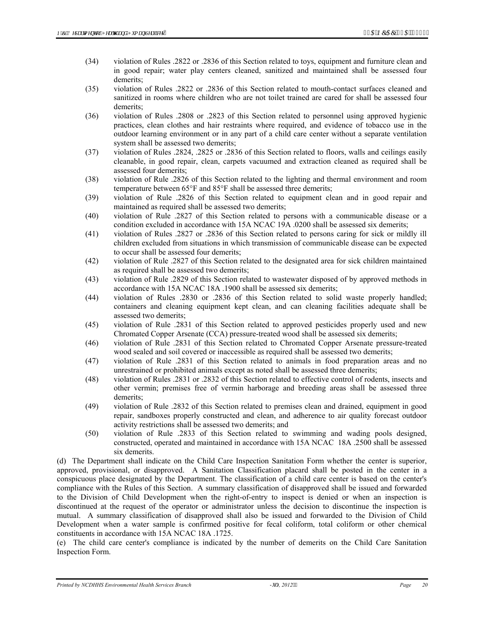- (34) violation of Rules .2822 or .2836 of this Section related to toys, equipment and furniture clean and in good repair; water play centers cleaned, sanitized and maintained shall be assessed four demerits;
- (35) violation of Rules .2822 or .2836 of this Section related to mouth-contact surfaces cleaned and sanitized in rooms where children who are not toilet trained are cared for shall be assessed four demerits;
- (36) violation of Rules .2808 or .2823 of this Section related to personnel using approved hygienic practices, clean clothes and hair restraints where required, and evidence of tobacco use in the outdoor learning environment or in any part of a child care center without a separate ventilation system shall be assessed two demerits;
- (37) violation of Rules .2824, .2825 or .2836 of this Section related to floors, walls and ceilings easily cleanable, in good repair, clean, carpets vacuumed and extraction cleaned as required shall be assessed four demerits;
- (38) violation of Rule .2826 of this Section related to the lighting and thermal environment and room temperature between 65°F and 85°F shall be assessed three demerits;
- (39) violation of Rule .2826 of this Section related to equipment clean and in good repair and maintained as required shall be assessed two demerits;
- (40) violation of Rule .2827 of this Section related to persons with a communicable disease or a condition excluded in accordance with 15A NCAC 19A .0200 shall be assessed six demerits;
- (41) violation of Rules .2827 or .2836 of this Section related to persons caring for sick or mildly ill children excluded from situations in which transmission of communicable disease can be expected to occur shall be assessed four demerits;
- (42) violation of Rule .2827 of this Section related to the designated area for sick children maintained as required shall be assessed two demerits;
- (43) violation of Rule .2829 of this Section related to wastewater disposed of by approved methods in accordance with 15A NCAC 18A .1900 shall be assessed six demerits;
- (44) violation of Rules .2830 or .2836 of this Section related to solid waste properly handled; containers and cleaning equipment kept clean, and can cleaning facilities adequate shall be assessed two demerits;
- (45) violation of Rule .2831 of this Section related to approved pesticides properly used and new Chromated Copper Arsenate (CCA) pressure-treated wood shall be assessed six demerits;
- (46) violation of Rule .2831 of this Section related to Chromated Copper Arsenate pressure-treated wood sealed and soil covered or inaccessible as required shall be assessed two demerits;
- (47) violation of Rule .2831 of this Section related to animals in food preparation areas and no unrestrained or prohibited animals except as noted shall be assessed three demerits;
- (48) violation of Rules .2831 or .2832 of this Section related to effective control of rodents, insects and other vermin; premises free of vermin harborage and breeding areas shall be assessed three demerits;
- (49) violation of Rule .2832 of this Section related to premises clean and drained, equipment in good repair, sandboxes properly constructed and clean, and adherence to air quality forecast outdoor activity restrictions shall be assessed two demerits; and
- (50) violation of Rule .2833 of this Section related to swimming and wading pools designed, constructed, operated and maintained in accordance with 15A NCAC 18A .2500 shall be assessed six demerits.

(d) The Department shall indicate on the Child Care Inspection Sanitation Form whether the center is superior, approved, provisional, or disapproved. A Sanitation Classification placard shall be posted in the center in a conspicuous place designated by the Department. The classification of a child care center is based on the center's compliance with the Rules of this Section. A summary classification of disapproved shall be issued and forwarded to the Division of Child Development when the right-of-entry to inspect is denied or when an inspection is discontinued at the request of the operator or administrator unless the decision to discontinue the inspection is mutual. A summary classification of disapproved shall also be issued and forwarded to the Division of Child Development when a water sample is confirmed positive for fecal coliform, total coliform or other chemical constituents in accordance with 15A NCAC 18A .1725.

(e) The child care center's compliance is indicated by the number of demerits on the Child Care Sanitation Inspection Form.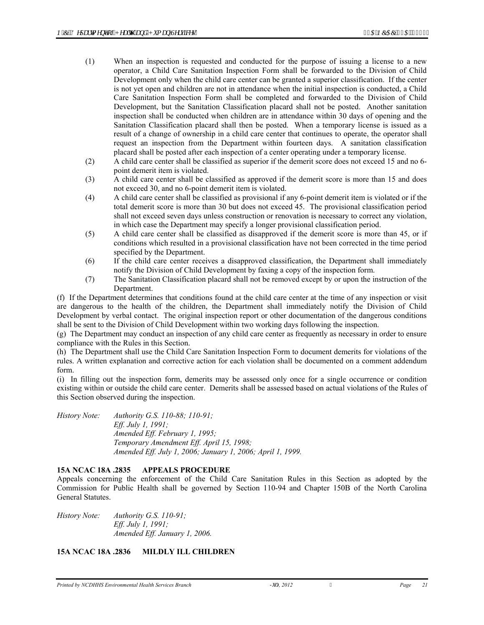- (1) When an inspection is requested and conducted for the purpose of issuing a license to a new operator, a Child Care Sanitation Inspection Form shall be forwarded to the Division of Child Development only when the child care center can be granted a superior classification. If the center is not yet open and children are not in attendance when the initial inspection is conducted, a Child Care Sanitation Inspection Form shall be completed and forwarded to the Division of Child Development, but the Sanitation Classification placard shall not be posted. Another sanitation inspection shall be conducted when children are in attendance within 30 days of opening and the Sanitation Classification placard shall then be posted. When a temporary license is issued as a result of a change of ownership in a child care center that continues to operate, the operator shall request an inspection from the Department within fourteen days. A sanitation classification placard shall be posted after each inspection of a center operating under a temporary license.
- (2) A child care center shall be classified as superior if the demerit score does not exceed 15 and no 6 point demerit item is violated.
- (3) A child care center shall be classified as approved if the demerit score is more than 15 and does not exceed 30, and no 6-point demerit item is violated.
- (4) A child care center shall be classified as provisional if any 6-point demerit item is violated or if the total demerit score is more than 30 but does not exceed 45. The provisional classification period shall not exceed seven days unless construction or renovation is necessary to correct any violation, in which case the Department may specify a longer provisional classification period.
- (5) A child care center shall be classified as disapproved if the demerit score is more than 45, or if conditions which resulted in a provisional classification have not been corrected in the time period specified by the Department.
- (6) If the child care center receives a disapproved classification, the Department shall immediately notify the Division of Child Development by faxing a copy of the inspection form.
- (7) The Sanitation Classification placard shall not be removed except by or upon the instruction of the Department.

(f) If the Department determines that conditions found at the child care center at the time of any inspection or visit are dangerous to the health of the children, the Department shall immediately notify the Division of Child Development by verbal contact. The original inspection report or other documentation of the dangerous conditions shall be sent to the Division of Child Development within two working days following the inspection.

(g) The Department may conduct an inspection of any child care center as frequently as necessary in order to ensure compliance with the Rules in this Section.

(h) The Department shall use the Child Care Sanitation Inspection Form to document demerits for violations of the rules. A written explanation and corrective action for each violation shall be documented on a comment addendum form.

(i) In filling out the inspection form, demerits may be assessed only once for a single occurrence or condition existing within or outside the child care center. Demerits shall be assessed based on actual violations of the Rules of this Section observed during the inspection.

*History Note: Authority G.S. 110-88; 110-91; Eff. July 1, 1991; Amended Eff. February 1, 1995; Temporary Amendment Eff. April 15, 1998; Amended Eff. July 1, 2006; January 1, 2006; April 1, 1999.* 

# **15A NCAC 18A .2835 APPEALS PROCEDURE**

Appeals concerning the enforcement of the Child Care Sanitation Rules in this Section as adopted by the Commission for Public Health shall be governed by Section 110-94 and Chapter 150B of the North Carolina General Statutes.

*History Note: Authority G.S. 110-91; Eff. July 1, 1991; Amended Eff. January 1, 2006.* 

# **15A NCAC 18A .2836 MILDLY ILL CHILDREN**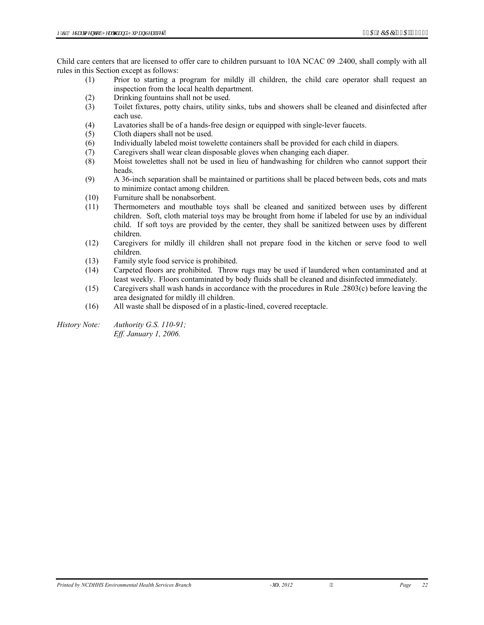Child care centers that are licensed to offer care to children pursuant to 10A NCAC 09 .2400, shall comply with all rules in this Section except as follows:

- (1) Prior to starting a program for mildly ill children, the child care operator shall request an inspection from the local health department.
- (2) Drinking fountains shall not be used.
- (3) Toilet fixtures, potty chairs, utility sinks, tubs and showers shall be cleaned and disinfected after each use.
- (4) Lavatories shall be of a hands-free design or equipped with single-lever faucets.
- (5) Cloth diapers shall not be used.
- (6) Individually labeled moist towelette containers shall be provided for each child in diapers.
- (7) Caregivers shall wear clean disposable gloves when changing each diaper.
- (8) Moist towelettes shall not be used in lieu of handwashing for children who cannot support their heads.
- (9) A 36-inch separation shall be maintained or partitions shall be placed between beds, cots and mats to minimize contact among children.
- (10) Furniture shall be nonabsorbent.
- (11) Thermometers and mouthable toys shall be cleaned and sanitized between uses by different children. Soft, cloth material toys may be brought from home if labeled for use by an individual child. If soft toys are provided by the center, they shall be sanitized between uses by different children.
- (12) Caregivers for mildly ill children shall not prepare food in the kitchen or serve food to well children.
- (13) Family style food service is prohibited.
- (14) Carpeted floors are prohibited. Throw rugs may be used if laundered when contaminated and at least weekly. Floors contaminated by body fluids shall be cleaned and disinfected immediately.
- (15) Caregivers shall wash hands in accordance with the procedures in Rule .2803(c) before leaving the area designated for mildly ill children.
- (16) All waste shall be disposed of in a plastic-lined, covered receptacle.
- *History Note: Authority G.S. 110-91; Eff. January 1, 2006.*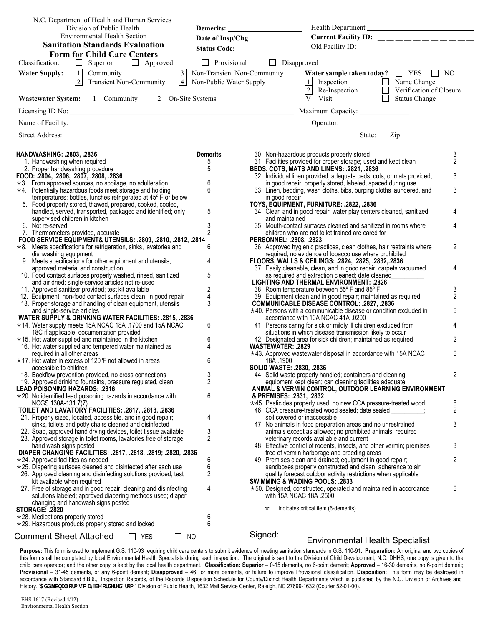| N.C. Department of Health and Human Services                                                                                     |                                                                                      |                                                                                                                                                                                                                                     |                     |
|----------------------------------------------------------------------------------------------------------------------------------|--------------------------------------------------------------------------------------|-------------------------------------------------------------------------------------------------------------------------------------------------------------------------------------------------------------------------------------|---------------------|
| Division of Public Health<br><b>Environmental Health Section</b>                                                                 |                                                                                      | Health Department                                                                                                                                                                                                                   |                     |
| <b>Sanitation Standards Evaluation</b>                                                                                           |                                                                                      | Current Facility ID: $\_\_$                                                                                                                                                                                                         |                     |
| <b>Form for Child Care Centers</b>                                                                                               |                                                                                      | Old Facility ID:<br>__ __ __ __ __ __ __ __ __                                                                                                                                                                                      |                     |
| Superior Approved<br>$\Box$<br>Classification:                                                                                   | $\Box$ Provisional                                                                   | $\Box$ Disapproved                                                                                                                                                                                                                  |                     |
| 1 Community<br>2 Transient Non-Community<br><b>Water Supply:</b>                                                                 | 3 Non-Transient Non-Comm<br>4 Non-Public Water Supply<br>Non-Transient Non-Community | Water sample taken today? $\Box$ YES $\Box$ NO<br>T<br>Inspection Mame Change<br>2 Re-Inspection D<br>2 Verification of Closure                                                                                                     |                     |
| <b>Wastewater System:</b> $\boxed{1}$ Community $\boxed{2}$ On-Site Systems                                                      |                                                                                      | $\overline{V}$ Visit<br>$\overline{\Box}$ Status Change                                                                                                                                                                             |                     |
|                                                                                                                                  |                                                                                      |                                                                                                                                                                                                                                     |                     |
|                                                                                                                                  |                                                                                      | Name of Facility: <u>Contract Communications</u> Contract Communication Contract Communications Contract Communications Contract Communications Contract Communications Contract Communications Communications Communications Commu |                     |
|                                                                                                                                  |                                                                                      |                                                                                                                                                                                                                                     |                     |
|                                                                                                                                  |                                                                                      |                                                                                                                                                                                                                                     |                     |
| <b>HANDWASHING: .2803, .2836</b><br>1. Handwashing when required                                                                 | <b>Demerits</b><br>5                                                                 | 30. Non-hazardous products properly stored<br>31. Facilities provided for proper storage; used and kept clean                                                                                                                       | 3<br>$\overline{2}$ |
| 2. Proper handwashing procedure                                                                                                  | 5                                                                                    | BEDS, COTS, MATS AND LINENS: .2821, .2836                                                                                                                                                                                           |                     |
| FOOD: .2804, .2806, .2807, .2808, .2836                                                                                          |                                                                                      | 32. Individual linen provided; adequate beds, cots, or mats provided,                                                                                                                                                               | 3                   |
| $\star$ 3. From approved sources, no spoilage, no adulteration                                                                   | $\,6\,$                                                                              | in good repair, properly stored, labeled, spaced during use                                                                                                                                                                         |                     |
| $\star$ 4. Potentially hazardous foods meet storage and holding<br>temperatures; bottles, lunches refrigerated at 45° F or below | 6                                                                                    | 33. Linen, bedding, wash cloths, bibs, burping cloths laundered, and<br>in good repair                                                                                                                                              | 3                   |
| 5. Food properly stored, thawed, prepared, cooked, cooled,                                                                       |                                                                                      | TOYS, EQUIPMENT, FURNITURE: .2822, .2836                                                                                                                                                                                            |                     |
| handled, served, transported, packaged and identified; only                                                                      | 5                                                                                    | 34. Clean and in good repair; water play centers cleaned, sanitized                                                                                                                                                                 | 4                   |
| supervised children in kitchen                                                                                                   |                                                                                      | and maintained                                                                                                                                                                                                                      |                     |
| 6. Not re-served                                                                                                                 | 3                                                                                    | 35. Mouth-contact surfaces cleaned and sanitized in rooms where                                                                                                                                                                     |                     |
| 7. Thermometers provided, accurate<br>FOOD SERVICE EQUIPMENT& UTENSILS: . 2809, .2810, .2812, .2814                              |                                                                                      | children who are not toilet trained are cared for<br>PERSONNEL: .2808, .2823                                                                                                                                                        |                     |
| $\star$ 8. Meets specifications for refrigeration, sinks, lavatories and                                                         | 6                                                                                    | 36. Approved hygienic practices, clean clothes, hair restraints where                                                                                                                                                               | $\overline{2}$      |
| dishwashing equipment                                                                                                            |                                                                                      | required; no evidence of tobacco use where prohibited                                                                                                                                                                               |                     |
| 9. Meets specifications for other equipment and utensils,                                                                        | 4                                                                                    | FLOORS, WALLS & CEILINGS: .2824, .2825, .2832, .2836                                                                                                                                                                                |                     |
| approved material and construction                                                                                               |                                                                                      | 37. Easily cleanable, clean, and in good repair; carpets vacuumed                                                                                                                                                                   | 4                   |
| 10. Food contact surfaces properly washed, rinsed, sanitized<br>and air dried; single-service articles not re-used               | 5                                                                                    | as required and extraction cleaned; date cleaned<br><b>LIGHTING AND THERMAL ENVIRONMENT: .2826</b>                                                                                                                                  |                     |
| 11. Approved sanitizer provided; test kit available                                                                              | $\boldsymbol{2}$                                                                     | 38. Room temperature between 65° F and 85° F                                                                                                                                                                                        | 3                   |
| 12. Equipment, non-food contact surfaces clean; in good repair                                                                   | $\overline{4}$                                                                       | 39. Equipment clean and in good repair; maintained as required                                                                                                                                                                      | $\overline{2}$      |
| 13. Proper storage and handling of clean equipment, utensils                                                                     | 3                                                                                    | <b>COMMUNICABLE DISEASE CONTROL: .2827, .2836</b>                                                                                                                                                                                   |                     |
| and single-service articles                                                                                                      |                                                                                      | $\star$ 40. Persons with a communicable disease or condition excluded in                                                                                                                                                            | 6                   |
| WATER SUPPLY & DRINKING WATER FACILITIES: .2815, .2836<br>$\star$ 14. Water supply meets 15A NCAC 18A .1700 and 15A NCAC         | 6                                                                                    | accordance with 10A NCAC 41A .0200<br>41. Persons caring for sick or mildly ill children excluded from                                                                                                                              | 4                   |
| 18C if applicable; documentation provided                                                                                        |                                                                                      | situations in which disease transmission likely to occur                                                                                                                                                                            |                     |
| $\star$ 15. Hot water supplied and maintained in the kitchen                                                                     | 6                                                                                    | 42. Designated area for sick children; maintained as required                                                                                                                                                                       | 2                   |
| 16. Hot water supplied and tempered water maintained as                                                                          | 4                                                                                    | WASTEWATER: .2829                                                                                                                                                                                                                   |                     |
| required in all other areas                                                                                                      |                                                                                      | *43. Approved wastewater disposal in accordance with 15A NCAC                                                                                                                                                                       | 6                   |
| $\star$ 17. Hot water in excess of 120°F not allowed in areas<br>accessible to children                                          | 6                                                                                    | 18A .1900<br><b>SOLID WASTE: .2830, .2836</b>                                                                                                                                                                                       |                     |
| 18. Backflow prevention provided, no cross connections                                                                           | 3                                                                                    | 44. Solid waste properly handled; containers and cleaning                                                                                                                                                                           | 2                   |
| 19. Approved drinking fountains, pressure regulated, clean                                                                       | 2                                                                                    | equipment kept clean; can cleaning facilities adequate                                                                                                                                                                              |                     |
| <b>LEAD POISONING HAZARDS: .2816</b>                                                                                             |                                                                                      | ANIMAL & VERMIN CONTROL, OUTDOOR LEARNING ENVIRONMENT                                                                                                                                                                               |                     |
| $\star$ 20. No identified lead poisoning hazards in accordance with                                                              | 6                                                                                    | & PREMISES: .2831, .2832                                                                                                                                                                                                            |                     |
| NCGS 130A-131.7(7)<br>TOILET AND LAVATORY FACILITIES: .2817, .2818, .2836                                                        |                                                                                      | *45. Pesticides properly used; no new CCA pressure-treated wood<br>46. CCA pressure-treated wood sealed; date sealed                                                                                                                | 6<br>$\overline{2}$ |
| 21. Properly sized, located, accessible, and in good repair;                                                                     | 4                                                                                    | soil covered or inaccessible                                                                                                                                                                                                        |                     |
| sinks, toilets and potty chairs cleaned and disinfected                                                                          |                                                                                      | 47. No animals in food preparation areas and no unrestrained                                                                                                                                                                        | 3                   |
| 22. Soap, approved hand drying devices, toilet tissue available                                                                  | 3                                                                                    | animals except as allowed; no prohibited animals; required                                                                                                                                                                          |                     |
| 23. Approved storage in toilet rooms, lavatories free of storage;                                                                | 2                                                                                    | veterinary records available and current                                                                                                                                                                                            | 3                   |
| hand wash signs posted<br>DIAPER CHANGING FACILITIES: . 2817, . 2818, . 2819; . 2820, . 2836                                     |                                                                                      | 48. Effective control of rodents, insects, and other vermin; premises<br>free of vermin harborage and breeding areas                                                                                                                |                     |
| $\star$ 24. Approved facilities as needed                                                                                        | 6                                                                                    | 49. Premises clean and drained; equipment in good repair;                                                                                                                                                                           | $\overline{2}$      |
| $\star$ 25. Diapering surfaces cleaned and disinfected after each use                                                            | 6                                                                                    | sandboxes properly constructed and clean; adherence to air                                                                                                                                                                          |                     |
| 26. Approved cleaning and disinfecting solutions provided; test                                                                  | 2                                                                                    | quality forecast outdoor activity restrictions when applicable                                                                                                                                                                      |                     |
| kit available when required<br>27. Free of storage and in good repair; cleaning and disinfecting                                 | 4                                                                                    | <b>SWIMMING &amp; WADING POOLS: .2833</b>                                                                                                                                                                                           | 6                   |
| solutions labeled; approved diapering methods used; diaper                                                                       |                                                                                      | $\star$ 50. Designed, constructed, operated and maintained in accordance<br>with 15A NCAC 18A .2500                                                                                                                                 |                     |
| changing and handwash signs posted                                                                                               |                                                                                      |                                                                                                                                                                                                                                     |                     |
| <b>STORAGE: .2820</b>                                                                                                            |                                                                                      | Indicates critical item (6-demerits).<br>$^\star$                                                                                                                                                                                   |                     |
| $\star$ 28. Medications properly stored                                                                                          | 6                                                                                    |                                                                                                                                                                                                                                     |                     |
| $\star$ 29. Hazardous products properly stored and locked                                                                        | 6                                                                                    |                                                                                                                                                                                                                                     |                     |
| <b>Comment Sheet Attached</b><br><b>YES</b><br>NO.                                                                               |                                                                                      | Signed:<br><b>Environmental Health Specialist</b>                                                                                                                                                                                   |                     |
|                                                                                                                                  |                                                                                      |                                                                                                                                                                                                                                     |                     |

**Purpose:** This form is used to implement G.S. 110-93 requiring child care centers to submit evidence of meeting sanitation standards in G.S. 110-91. **Preparation:** An original and two copies of this form shall be completed by local Environmental Health Specialists during each inspection. The original is sent to the Division of Child Development, N.C. DHHS, one copy is given to the child care operator; and the other copy is kept by the local health department. **Classification: Superior** – 0-15 demerits, no 6-point demerit; **Approved** – 16-30 demerits, no 6-point demerit; **Provisional** – 31-45 demerits, or any 6-point demerit; **Disapproved** – 46 or more demerits, or failure to improve Provisional classification. **Disposition:** This form may be destroyed in accordance with Standard 8.B.6., Inspection Records, of the Records Disposition Schedule for County/District Health Departments which is published by the N.C. Division of Archives and History. **BXXIPcbU Zcfa ga UnW cfXYfYX Zrca**. Division of Public Health, 1632 Mail Service Center, Raleigh, NC 27699-1632 (Courier 52-01-00).